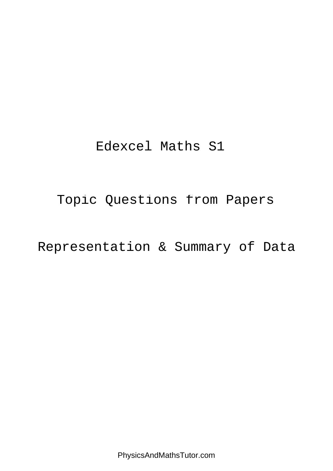# Edexcel Maths S1

Topic Questions from Papers

# Representation & Summary of Data

PhysicsAndMathsTutor.com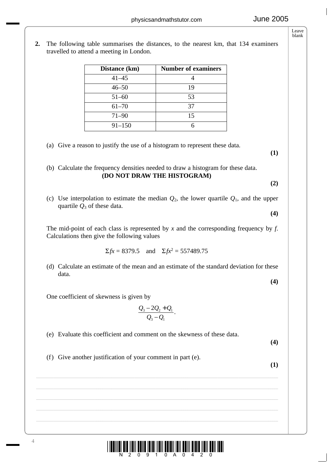**2.** The following table summarises the distances, to the nearest km, that 134 examiners travelled to attend a meeting in London.

| Distance (km) | <b>Number of examiners</b> |
|---------------|----------------------------|
| $41 - 45$     |                            |
| $46 - 50$     | 19                         |
| $51 - 60$     | 53                         |
| $61 - 70$     | 37                         |
| $71 - 90$     | 15                         |
| $91 - 150$    |                            |

(a) Give a reason to justify the use of a histogram to represent these data.

**(1)**

(b) Calculate the frequency densities needed to draw a histogram for these data. **(DO NOT DRAW THE HISTOGRAM)**

**(2)**

**(4)**

(c) Use interpolation to estimate the median *Q*2, the lower quartile *Q*1, and the upper quartile  $Q_3$  of these data.

The mid-point of each class is represented by *x* and the corresponding frequency by *f*. Calculations then give the following values

$$
\Sigma fx = 8379.5
$$
 and  $\Sigma fx^2 = 557489.75$ 

(d) Calculate an estimate of the mean and an estimate of the standard deviation for these data.

**(4)**

One coefficient of skewness is given by

$$
\frac{Q_3-2Q_2+Q_1}{Q_3-Q_1}.
$$

 $\_$  , and the set of the set of the set of the set of the set of the set of the set of the set of the set of the set of the set of the set of the set of the set of the set of the set of the set of the set of the set of th

(e) Evaluate this coefficient and comment on the skewness of these data.

**(4)**

(f) Give another justification of your comment in part (e).

**(1)**

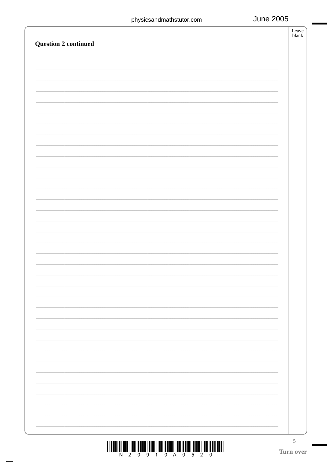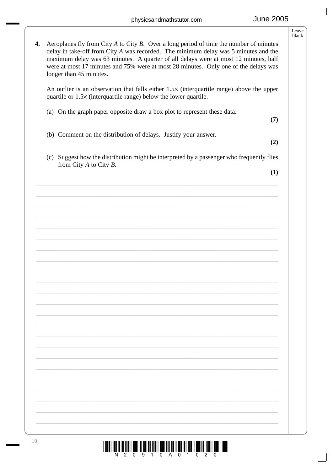$\overline{\phantom{a}}$ 

|    |                                                                                                                                                                                                                                                                                                                                                                                             | Leave<br>blank |
|----|---------------------------------------------------------------------------------------------------------------------------------------------------------------------------------------------------------------------------------------------------------------------------------------------------------------------------------------------------------------------------------------------|----------------|
| 4. | Aeroplanes fly from City $A$ to City $B$ . Over a long period of time the number of minutes<br>delay in take-off from City A was recorded. The minimum delay was 5 minutes and the<br>maximum delay was 63 minutes. A quarter of all delays were at most 12 minutes, half<br>were at most 17 minutes and 75% were at most 28 minutes. Only one of the delays was<br>longer than 45 minutes. |                |
|    | An outlier is an observation that falls either $1.5\times$ (interquartile range) above the upper<br>quartile or $1.5\times$ (interquartile range) below the lower quartile.                                                                                                                                                                                                                 |                |
|    | (a) On the graph paper opposite draw a box plot to represent these data.<br>(7)                                                                                                                                                                                                                                                                                                             |                |
|    | (b) Comment on the distribution of delays. Justify your answer.<br>(2)                                                                                                                                                                                                                                                                                                                      |                |
|    | (c) Suggest how the distribution might be interpreted by a passenger who frequently flies<br>from City $A$ to City $B$ .                                                                                                                                                                                                                                                                    |                |
|    | (1)                                                                                                                                                                                                                                                                                                                                                                                         |                |
|    |                                                                                                                                                                                                                                                                                                                                                                                             |                |
|    |                                                                                                                                                                                                                                                                                                                                                                                             |                |
|    |                                                                                                                                                                                                                                                                                                                                                                                             |                |
|    |                                                                                                                                                                                                                                                                                                                                                                                             |                |
|    |                                                                                                                                                                                                                                                                                                                                                                                             |                |
|    |                                                                                                                                                                                                                                                                                                                                                                                             |                |
|    |                                                                                                                                                                                                                                                                                                                                                                                             |                |
|    |                                                                                                                                                                                                                                                                                                                                                                                             |                |
|    |                                                                                                                                                                                                                                                                                                                                                                                             |                |
|    |                                                                                                                                                                                                                                                                                                                                                                                             |                |
|    |                                                                                                                                                                                                                                                                                                                                                                                             |                |
|    |                                                                                                                                                                                                                                                                                                                                                                                             |                |
|    |                                                                                                                                                                                                                                                                                                                                                                                             |                |
|    |                                                                                                                                                                                                                                                                                                                                                                                             |                |

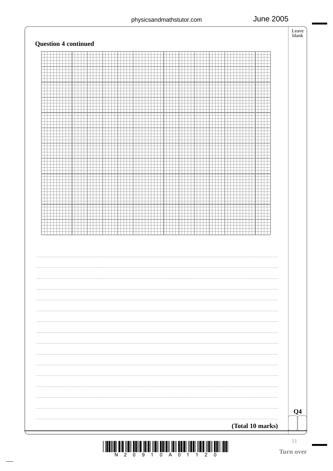$\begin{array}{c}\n\hline\n\text{Leave} \\
\text{blank}\n\end{array}$ 

**June 2005** 

| Q <sub>4</sub> |
|----------------|



11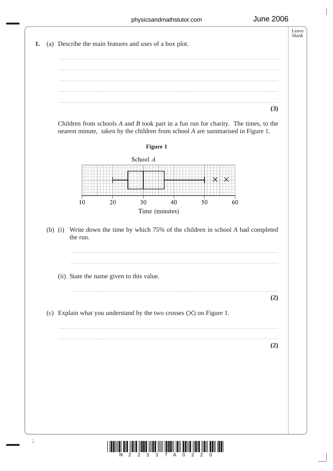

N 2 2 3 3 7 A 0 2 2 0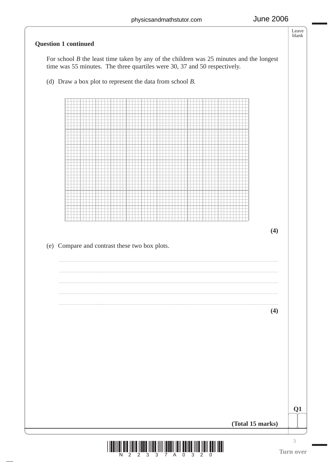# Leave blank **Question 1 continued** For school *B* the least time taken by any of the children was 25 minutes and the longest time was 55 minutes. The three quartiles were 30, 37 and 50 respectively. (d) Draw a box plot to represent the data from school *B*. **(4)** (e) Compare and contrast these two box plots. **(4) Q1 (Total 15 marks)**



3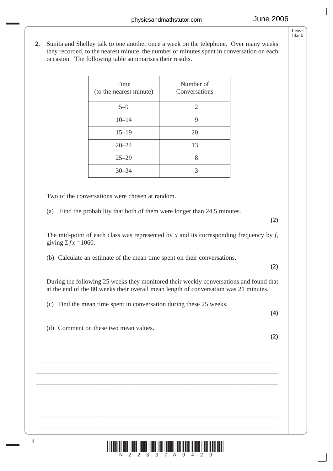**2.** Sunita and Shelley talk to one another once a week on the telephone. Over many weeks they recorded, to the nearest minute, the number of minutes spent in conversation on each occasion. The following table summarises their results.

| Number of<br>Conversations |
|----------------------------|
| 2                          |
| 9                          |
| 20                         |
| 13                         |
| 8                          |
| 3                          |
|                            |

Two of the conversations were chosen at random.

(a) Find the probability that both of them were longer than 24.5 minutes.

The mid-point of each class was represented by  $x$  and its corresponding frequency by  $f$ , giving  $\Sigma fx = 1060$ .

(b) Calculate an estimate of the mean time spent on their conversations.

**(2)**

**(2)**

During the following 25 weeks they monitored their weekly conversations and found that at the end of the 80 weeks their overall mean length of conversation was 21 minutes.

(c) Find the mean time spent in conversation during these 25 weeks.

**(4)**

(d) Comment on these two mean values.



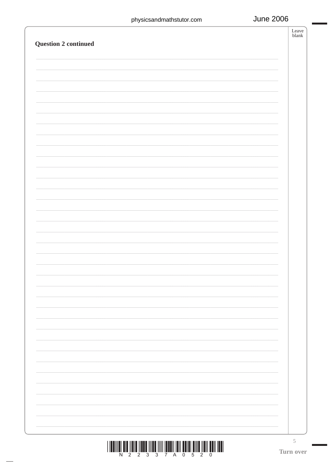| <b>Question 2 continued</b> |  |                          |
|-----------------------------|--|--------------------------|
|                             |  |                          |
|                             |  |                          |
|                             |  |                          |
|                             |  |                          |
|                             |  |                          |
|                             |  |                          |
|                             |  |                          |
|                             |  |                          |
|                             |  |                          |
|                             |  |                          |
|                             |  |                          |
|                             |  |                          |
|                             |  |                          |
|                             |  |                          |
|                             |  |                          |
|                             |  |                          |
|                             |  |                          |
|                             |  |                          |
|                             |  |                          |
|                             |  | $\overline{\phantom{a}}$ |
|                             |  | ۰                        |
|                             |  |                          |
|                             |  |                          |
|                             |  |                          |
|                             |  |                          |
|                             |  |                          |



5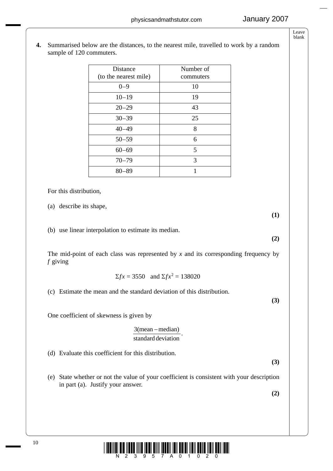Number of commuters

Leave blank

- 10 For this distribution, (a) describe its shape, **(1)** (b) use linear interpolation to estimate its median. **(2)** The mid-point of each class was represented by  $x$  and its corresponding frequency by *f* giving  $Σ$ *fx* = 3550 and  $Σ$ *fx*<sup>2</sup> = 138020 (c) Estimate the mean and the standard deviation of this distribution. **(3)** One coefficient of skewness is given by (d) Evaluate this coefficient for this distribution. **(3)** (e) State whether or not the value of your coefficient is consistent with your description in part (a). Justify your answer. **(2)**  $\frac{3(\text{mean}-\text{median})}{\text{standard deviation}}$ . <u>AANIN AIA ÎNATÎ ÎNIA ÎNIN ÎNIN ÎNIN ÎNIN ÎNIN ÎNIN Î</u>  $0-9$  10  $10-19$  19  $20-29$  43 30–39 25 40–49 8  $50-59$  6 60–69 5 70–79 3 80–89 1
- **4.** Summarised below are the distances, to the nearest mile, travelled to work by a random sample of 120 commuters.

Distance (to the nearest mile)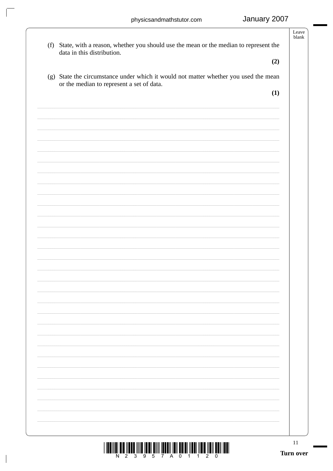| or the median to represent a set of data.<br>(1)                                         |
|------------------------------------------------------------------------------------------|
| (g) State the circumstance under which it would not matter whether you used the mean     |
| (2)                                                                                      |
| data in this distribution.                                                               |
| (f) State, with a reason, whether you should use the mean or the median to represent the |
|                                                                                          |

 $\bigg\vert$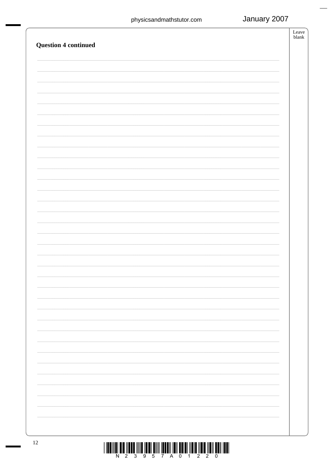| <b>Question 4 continued</b> | $\operatorname{Leave}$<br>$\ensuremath{\text{blank}}$ |
|-----------------------------|-------------------------------------------------------|
|                             |                                                       |
|                             |                                                       |
|                             |                                                       |
|                             |                                                       |
|                             |                                                       |
|                             |                                                       |
|                             |                                                       |
|                             |                                                       |
|                             |                                                       |
|                             |                                                       |
|                             |                                                       |
|                             |                                                       |
|                             |                                                       |
|                             |                                                       |
|                             |                                                       |
|                             |                                                       |
|                             |                                                       |
|                             |                                                       |
|                             |                                                       |
|                             |                                                       |

 $\begin{array}{c} \text{if} \ \text{if} \ \text{if} \ \text{if} \ \text{if} \ \text{if} \ \text{if} \ \text{if} \ \text{if} \ \text{if} \ \text{if} \ \text{if} \ \text{if} \ \text{if} \ \text{if} \ \text{if} \ \text{if} \ \text{if} \ \text{if} \ \text{if} \ \text{if} \ \text{if} \ \text{if} \ \text{if} \ \text{if} \ \text{if} \ \text{if} \ \text{if} \ \text{if} \ \text{if} \ \text{if} \ \text{if} \ \text{if} \ \text{if} \ \text{if} \ \text{$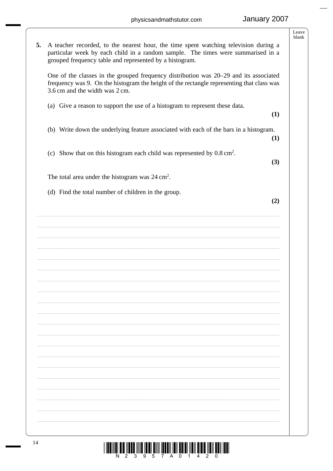|    |                                                                                                                                                                                                                                     | Leave<br>blank |
|----|-------------------------------------------------------------------------------------------------------------------------------------------------------------------------------------------------------------------------------------|----------------|
| 5. | A teacher recorded, to the nearest hour, the time spent watching television during a<br>particular week by each child in a random sample. The times were summarised in a<br>grouped frequency table and represented by a histogram. |                |
|    | One of the classes in the grouped frequency distribution was 20–29 and its associated<br>frequency was 9. On the histogram the height of the rectangle representing that class was<br>3.6 cm and the width was 2 cm.                |                |
|    | (a) Give a reason to support the use of a histogram to represent these data.<br>(1)                                                                                                                                                 |                |
|    | (b) Write down the underlying feature associated with each of the bars in a histogram.<br>(1)                                                                                                                                       |                |
|    | Show that on this histogram each child was represented by $0.8 \text{ cm}^2$ .<br>(c)<br>(3)                                                                                                                                        |                |
|    | The total area under the histogram was $24 \text{ cm}^2$ .                                                                                                                                                                          |                |
|    | (d) Find the total number of children in the group.<br>(2)                                                                                                                                                                          |                |
|    |                                                                                                                                                                                                                                     |                |
|    |                                                                                                                                                                                                                                     |                |
|    |                                                                                                                                                                                                                                     |                |
|    |                                                                                                                                                                                                                                     |                |
|    |                                                                                                                                                                                                                                     |                |
|    |                                                                                                                                                                                                                                     |                |
|    |                                                                                                                                                                                                                                     |                |
|    |                                                                                                                                                                                                                                     |                |
|    |                                                                                                                                                                                                                                     |                |
|    |                                                                                                                                                                                                                                     |                |
|    |                                                                                                                                                                                                                                     |                |
|    |                                                                                                                                                                                                                                     |                |
|    |                                                                                                                                                                                                                                     |                |
|    |                                                                                                                                                                                                                                     |                |
|    |                                                                                                                                                                                                                                     |                |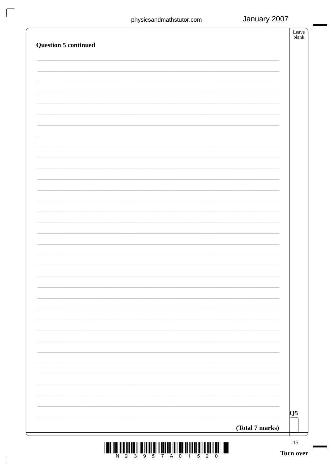$\sqrt{ }$ 

 $\bigg\vert$ 

| <b>Question 5 continued</b> |                 | Leave<br>blank         |
|-----------------------------|-----------------|------------------------|
|                             |                 |                        |
|                             |                 |                        |
|                             |                 |                        |
|                             |                 |                        |
|                             |                 |                        |
|                             |                 |                        |
|                             |                 |                        |
|                             |                 |                        |
|                             |                 |                        |
|                             |                 |                        |
|                             |                 |                        |
|                             |                 |                        |
|                             |                 |                        |
|                             |                 |                        |
|                             |                 |                        |
|                             | (Total 7 marks) | $\overline{\text{Q5}}$ |
|                             |                 | 15<br>Turn over        |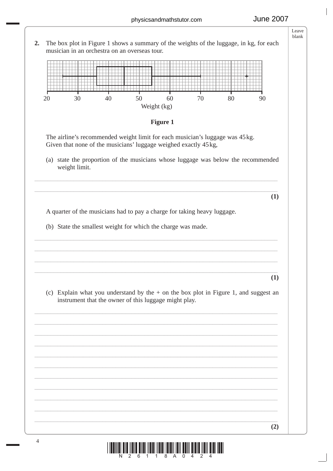Leave blank **2.** The box plot in Figure 1 shows a summary of the weights of the luggage, in kg, for each musician in an orchestra on an overseas tour. 20 30 40 50 60 70 80 90 Weight (kg) **Figure 1** The airline's recommended weight limit for each musician's luggage was 45 kg. Given that none of the musicians' luggage weighed exactly 45 kg, (a) state the proportion of the musicians whose luggage was below the recommended weight limit. \_\_\_\_\_\_\_\_\_\_\_\_\_\_\_\_\_\_\_\_\_\_\_\_\_\_\_\_\_\_\_\_\_\_\_\_\_\_\_\_\_\_\_\_\_\_\_\_\_\_\_\_\_\_\_\_\_\_\_\_\_\_\_\_\_\_\_\_\_\_\_\_\_\_\_ \_\_\_\_\_\_\_\_\_\_\_\_\_\_\_\_\_\_\_\_\_\_\_\_\_\_\_\_\_\_\_\_\_\_\_\_\_\_\_\_\_\_\_\_\_\_\_\_\_\_\_\_\_\_\_\_\_\_\_\_\_\_\_\_\_\_\_\_\_\_\_\_\_\_\_ **(1)** A quarter of the musicians had to pay a charge for taking heavy luggage. (b) State the smallest weight for which the charge was made. \_\_\_\_\_\_\_\_\_\_\_\_\_\_\_\_\_\_\_\_\_\_\_\_\_\_\_\_\_\_\_\_\_\_\_\_\_\_\_\_\_\_\_\_\_\_\_\_\_\_\_\_\_\_\_\_\_\_\_\_\_\_\_\_\_\_\_\_\_\_\_\_\_\_\_ \_\_\_\_\_\_\_\_\_\_\_\_\_\_\_\_\_\_\_\_\_\_\_\_\_\_\_\_\_\_\_\_\_\_\_\_\_\_\_\_\_\_\_\_\_\_\_\_\_\_\_\_\_\_\_\_\_\_\_\_\_\_\_\_\_\_\_\_\_\_\_\_\_\_\_ \_\_\_\_\_\_\_\_\_\_\_\_\_\_\_\_\_\_\_\_\_\_\_\_\_\_\_\_\_\_\_\_\_\_\_\_\_\_\_\_\_\_\_\_\_\_\_\_\_\_\_\_\_\_\_\_\_\_\_\_\_\_\_\_\_\_\_\_\_\_\_\_\_\_\_ \_\_\_\_\_\_\_\_\_\_\_\_\_\_\_\_\_\_\_\_\_\_\_\_\_\_\_\_\_\_\_\_\_\_\_\_\_\_\_\_\_\_\_\_\_\_\_\_\_\_\_\_\_\_\_\_\_\_\_\_\_\_\_\_\_\_\_\_\_\_\_\_\_\_\_ **(1)** (c) Explain what you understand by the  $+$  on the box plot in Figure 1, and suggest an instrument that the owner of this luggage might play. \_\_\_\_\_\_\_\_\_\_\_\_\_\_\_\_\_\_\_\_\_\_\_\_\_\_\_\_\_\_\_\_\_\_\_\_\_\_\_\_\_\_\_\_\_\_\_\_\_\_\_\_\_\_\_\_\_\_\_\_\_\_\_\_\_\_\_\_\_\_\_\_\_\_\_ \_\_\_\_\_\_\_\_\_\_\_\_\_\_\_\_\_\_\_\_\_\_\_\_\_\_\_\_\_\_\_\_\_\_\_\_\_\_\_\_\_\_\_\_\_\_\_\_\_\_\_\_\_\_\_\_\_\_\_\_\_\_\_\_\_\_\_\_\_\_\_\_\_\_\_ \_\_\_\_\_\_\_\_\_\_\_\_\_\_\_\_\_\_\_\_\_\_\_\_\_\_\_\_\_\_\_\_\_\_\_\_\_\_\_\_\_\_\_\_\_\_\_\_\_\_\_\_\_\_\_\_\_\_\_\_\_\_\_\_\_\_\_\_\_\_\_\_\_\_\_ \_\_\_\_\_\_\_\_\_\_\_\_\_\_\_\_\_\_\_\_\_\_\_\_\_\_\_\_\_\_\_\_\_\_\_\_\_\_\_\_\_\_\_\_\_\_\_\_\_\_\_\_\_\_\_\_\_\_\_\_\_\_\_\_\_\_\_\_\_\_\_\_\_\_\_ \_\_\_\_\_\_\_\_\_\_\_\_\_\_\_\_\_\_\_\_\_\_\_\_\_\_\_\_\_\_\_\_\_\_\_\_\_\_\_\_\_\_\_\_\_\_\_\_\_\_\_\_\_\_\_\_\_\_\_\_\_\_\_\_\_\_\_\_\_\_\_\_\_\_\_ \_\_\_\_\_\_\_\_\_\_\_\_\_\_\_\_\_\_\_\_\_\_\_\_\_\_\_\_\_\_\_\_\_\_\_\_\_\_\_\_\_\_\_\_\_\_\_\_\_\_\_\_\_\_\_\_\_\_\_\_\_\_\_\_\_\_\_\_\_\_\_\_\_\_\_ \_\_\_\_\_\_\_\_\_\_\_\_\_\_\_\_\_\_\_\_\_\_\_\_\_\_\_\_\_\_\_\_\_\_\_\_\_\_\_\_\_\_\_\_\_\_\_\_\_\_\_\_\_\_\_\_\_\_\_\_\_\_\_\_\_\_\_\_\_\_\_\_\_\_\_ \_\_\_\_\_\_\_\_\_\_\_\_\_\_\_\_\_\_\_\_\_\_\_\_\_\_\_\_\_\_\_\_\_\_\_\_\_\_\_\_\_\_\_\_\_\_\_\_\_\_\_\_\_\_\_\_\_\_\_\_\_\_\_\_\_\_\_\_\_\_\_\_\_\_\_ \_\_\_\_\_\_\_\_\_\_\_\_\_\_\_\_\_\_\_\_\_\_\_\_\_\_\_\_\_\_\_\_\_\_\_\_\_\_\_\_\_\_\_\_\_\_\_\_\_\_\_\_\_\_\_\_\_\_\_\_\_\_\_\_\_\_\_\_\_\_\_\_\_\_\_ \_\_\_\_\_\_\_\_\_\_\_\_\_\_\_\_\_\_\_\_\_\_\_\_\_\_\_\_\_\_\_\_\_\_\_\_\_\_\_\_\_\_\_\_\_\_\_\_\_\_\_\_\_\_\_\_\_\_\_\_\_\_\_\_\_\_\_\_\_\_\_\_\_\_\_ \_\_\_\_\_\_\_\_\_\_\_\_\_\_\_\_\_\_\_\_\_\_\_\_\_\_\_\_\_\_\_\_\_\_\_\_\_\_\_\_\_\_\_\_\_\_\_\_\_\_\_\_\_\_\_\_\_\_\_\_\_\_\_\_\_\_\_\_\_\_\_\_\_\_\_ **(2)** 4

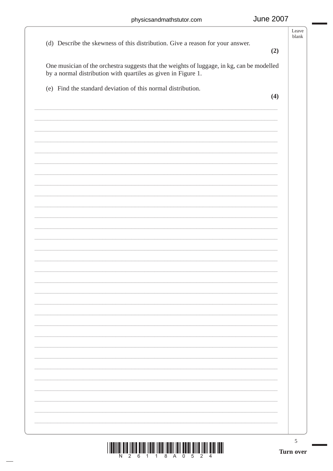| (e) Find the standard deviation of this normal distribution.                                                                                                | (4)          |
|-------------------------------------------------------------------------------------------------------------------------------------------------------------|--------------|
| One musician of the orchestra suggests that the weights of luggage, in kg, can be modelled<br>by a normal distribution with quartiles as given in Figure 1. |              |
| (d) Describe the skewness of this distribution. Give a reason for your answer.                                                                              | blank<br>(2) |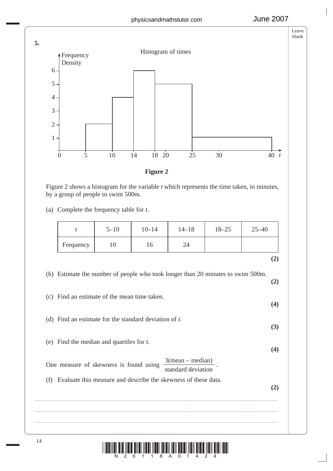

Figure 2 shows a histogram for the variable *t* which represents the time taken, in minutes, by a group of people to swim 500m.

(a) Complete the frequency table for *t*.

|     | $\boldsymbol{t}$                                         | $5 - 10$ | $10 - 14$ | $14 - 18$                                                                       | $18 - 25$ | $25 - 40$ |
|-----|----------------------------------------------------------|----------|-----------|---------------------------------------------------------------------------------|-----------|-----------|
|     | Frequency                                                | 10       | 16        | 24                                                                              |           |           |
|     |                                                          |          |           |                                                                                 |           | (2)       |
|     |                                                          |          |           | (b) Estimate the number of people who took longer than 20 minutes to swim 500m. |           | (2)       |
| (c) | Find an estimate of the mean time taken.                 |          |           |                                                                                 |           | (4)       |
|     | (d) Find an estimate for the standard deviation of $t$ . |          |           |                                                                                 |           | (3)       |
|     | (e) Find the median and quartiles for $t$ .              |          |           |                                                                                 |           | (4)       |
|     | One measure of skewness is found using                   |          |           | $3(mean - median)$<br>standard deviation                                        |           |           |
|     |                                                          |          |           | Evaluate this measure and describe the skewness of these data.                  |           |           |

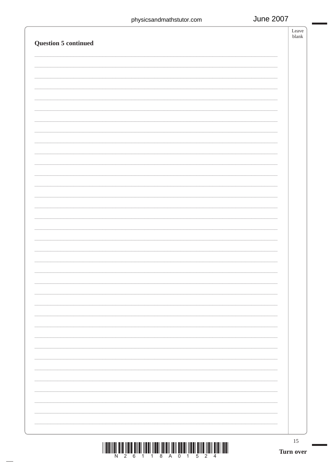| 15<br>Turn over |
|-----------------|
|                 |
|                 |
|                 |
|                 |
|                 |
|                 |
|                 |
|                 |
|                 |
|                 |
|                 |
|                 |
|                 |
|                 |
|                 |
|                 |
|                 |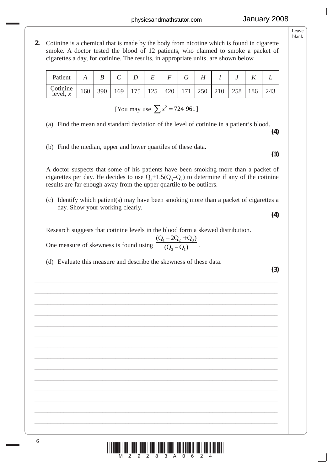**2.** Cotinine is a chemical that is made by the body from nicotine which is found in cigarette smoke. A doctor tested the blood of 12 patients, who claimed to smoke a packet of cigarettes a day, for cotinine. The results, in appropriate units, are shown below.

| Patient                      |     | B |  | E |  |                                                           |  |     |
|------------------------------|-----|---|--|---|--|-----------------------------------------------------------|--|-----|
| Cotinine $ \text{level}, x $ | 160 |   |  |   |  | 390   169   175   125   420   171   250   210   258   186 |  | 243 |

[You may use  $\sum x^2 = 724961$ ]

(a) Find the mean and standard deviation of the level of cotinine in a patient's blood.

(b) Find the median, upper and lower quartiles of these data.

 A doctor suspects that some of his patients have been smoking more than a packet of cigarettes per day. He decides to use  $Q_3 + 1.5(Q_3 - Q_1)$  to determine if any of the cotinine results are far enough away from the upper quartile to be outliers.

 (c) Identify which patient(s) may have been smoking more than a packet of cigarettes a day. Show your working clearly.

Research suggests that cotinine levels in the blood form a skewed distribution.

\_\_\_\_\_\_\_\_\_\_\_\_\_\_\_\_\_\_\_\_\_\_\_\_\_\_\_\_\_\_\_\_\_\_\_\_\_\_\_\_\_\_\_\_\_\_\_\_\_\_\_\_\_\_\_\_\_\_\_\_\_\_\_\_\_\_\_\_\_\_\_\_\_\_\_ \_\_\_\_\_\_\_\_\_\_\_\_\_\_\_\_\_\_\_\_\_\_\_\_\_\_\_\_\_\_\_\_\_\_\_\_\_\_\_\_\_\_\_\_\_\_\_\_\_\_\_\_\_\_\_\_\_\_\_\_\_\_\_\_\_\_\_\_\_\_\_\_\_\_\_ \_\_\_\_\_\_\_\_\_\_\_\_\_\_\_\_\_\_\_\_\_\_\_\_\_\_\_\_\_\_\_\_\_\_\_\_\_\_\_\_\_\_\_\_\_\_\_\_\_\_\_\_\_\_\_\_\_\_\_\_\_\_\_\_\_\_\_\_\_\_\_\_\_\_\_ \_\_\_\_\_\_\_\_\_\_\_\_\_\_\_\_\_\_\_\_\_\_\_\_\_\_\_\_\_\_\_\_\_\_\_\_\_\_\_\_\_\_\_\_\_\_\_\_\_\_\_\_\_\_\_\_\_\_\_\_\_\_\_\_\_\_\_\_\_\_\_\_\_\_\_ \_\_\_\_\_\_\_\_\_\_\_\_\_\_\_\_\_\_\_\_\_\_\_\_\_\_\_\_\_\_\_\_\_\_\_\_\_\_\_\_\_\_\_\_\_\_\_\_\_\_\_\_\_\_\_\_\_\_\_\_\_\_\_\_\_\_\_\_\_\_\_\_\_\_\_ \_\_\_\_\_\_\_\_\_\_\_\_\_\_\_\_\_\_\_\_\_\_\_\_\_\_\_\_\_\_\_\_\_\_\_\_\_\_\_\_\_\_\_\_\_\_\_\_\_\_\_\_\_\_\_\_\_\_\_\_\_\_\_\_\_\_\_\_\_\_\_\_\_\_\_ \_\_\_\_\_\_\_\_\_\_\_\_\_\_\_\_\_\_\_\_\_\_\_\_\_\_\_\_\_\_\_\_\_\_\_\_\_\_\_\_\_\_\_\_\_\_\_\_\_\_\_\_\_\_\_\_\_\_\_\_\_\_\_\_\_\_\_\_\_\_\_\_\_\_\_ \_\_\_\_\_\_\_\_\_\_\_\_\_\_\_\_\_\_\_\_\_\_\_\_\_\_\_\_\_\_\_\_\_\_\_\_\_\_\_\_\_\_\_\_\_\_\_\_\_\_\_\_\_\_\_\_\_\_\_\_\_\_\_\_\_\_\_\_\_\_\_\_\_\_\_ \_\_\_\_\_\_\_\_\_\_\_\_\_\_\_\_\_\_\_\_\_\_\_\_\_\_\_\_\_\_\_\_\_\_\_\_\_\_\_\_\_\_\_\_\_\_\_\_\_\_\_\_\_\_\_\_\_\_\_\_\_\_\_\_\_\_\_\_\_\_\_\_\_\_\_ \_\_\_\_\_\_\_\_\_\_\_\_\_\_\_\_\_\_\_\_\_\_\_\_\_\_\_\_\_\_\_\_\_\_\_\_\_\_\_\_\_\_\_\_\_\_\_\_\_\_\_\_\_\_\_\_\_\_\_\_\_\_\_\_\_\_\_\_\_\_\_\_\_\_\_ \_\_\_\_\_\_\_\_\_\_\_\_\_\_\_\_\_\_\_\_\_\_\_\_\_\_\_\_\_\_\_\_\_\_\_\_\_\_\_\_\_\_\_\_\_\_\_\_\_\_\_\_\_\_\_\_\_\_\_\_\_\_\_\_\_\_\_\_\_\_\_\_\_\_\_ \_\_\_\_\_\_\_\_\_\_\_\_\_\_\_\_\_\_\_\_\_\_\_\_\_\_\_\_\_\_\_\_\_\_\_\_\_\_\_\_\_\_\_\_\_\_\_\_\_\_\_\_\_\_\_\_\_\_\_\_\_\_\_\_\_\_\_\_\_\_\_\_\_\_\_ \_\_\_\_\_\_\_\_\_\_\_\_\_\_\_\_\_\_\_\_\_\_\_\_\_\_\_\_\_\_\_\_\_\_\_\_\_\_\_\_\_\_\_\_\_\_\_\_\_\_\_\_\_\_\_\_\_\_\_\_\_\_\_\_\_\_\_\_\_\_\_\_\_\_\_ \_\_\_\_\_\_\_\_\_\_\_\_\_\_\_\_\_\_\_\_\_\_\_\_\_\_\_\_\_\_\_\_\_\_\_\_\_\_\_\_\_\_\_\_\_\_\_\_\_\_\_\_\_\_\_\_\_\_\_\_\_\_\_\_\_\_\_\_\_\_\_\_\_\_\_

One measure of skewness is found using  $\boxed{(0,-0)}$ .  $(Q_1 - 2Q_2 + Q_3)$ )  $Q_1 - 2Q_2 + Q$  $(Q_3 - Q)$  $1 \quad 2\mathcal{Q}_2 + \mathcal{Q}_3$ 3  $\mathcal{Q}_1$  $-2Q_2 +$ −

(d) Evaluate this measure and describe the skewness of these data.

**(3)**



**(4)**

**(4)**

**(3)**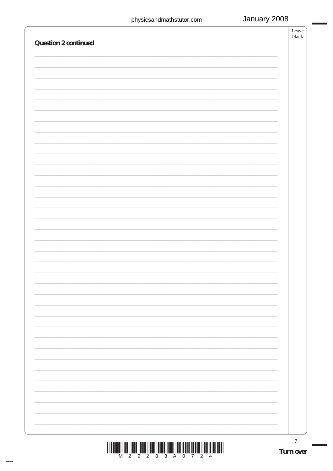| <b>Question 2 continued</b>                                                                                                                                                                                                                                                                                                                                                                                                        | Leave<br>blank   |
|------------------------------------------------------------------------------------------------------------------------------------------------------------------------------------------------------------------------------------------------------------------------------------------------------------------------------------------------------------------------------------------------------------------------------------|------------------|
|                                                                                                                                                                                                                                                                                                                                                                                                                                    |                  |
|                                                                                                                                                                                                                                                                                                                                                                                                                                    |                  |
|                                                                                                                                                                                                                                                                                                                                                                                                                                    |                  |
|                                                                                                                                                                                                                                                                                                                                                                                                                                    |                  |
|                                                                                                                                                                                                                                                                                                                                                                                                                                    |                  |
|                                                                                                                                                                                                                                                                                                                                                                                                                                    |                  |
|                                                                                                                                                                                                                                                                                                                                                                                                                                    |                  |
|                                                                                                                                                                                                                                                                                                                                                                                                                                    |                  |
|                                                                                                                                                                                                                                                                                                                                                                                                                                    |                  |
|                                                                                                                                                                                                                                                                                                                                                                                                                                    |                  |
|                                                                                                                                                                                                                                                                                                                                                                                                                                    |                  |
|                                                                                                                                                                                                                                                                                                                                                                                                                                    |                  |
|                                                                                                                                                                                                                                                                                                                                                                                                                                    |                  |
|                                                                                                                                                                                                                                                                                                                                                                                                                                    |                  |
|                                                                                                                                                                                                                                                                                                                                                                                                                                    |                  |
|                                                                                                                                                                                                                                                                                                                                                                                                                                    |                  |
|                                                                                                                                                                                                                                                                                                                                                                                                                                    |                  |
|                                                                                                                                                                                                                                                                                                                                                                                                                                    |                  |
|                                                                                                                                                                                                                                                                                                                                                                                                                                    |                  |
|                                                                                                                                                                                                                                                                                                                                                                                                                                    |                  |
|                                                                                                                                                                                                                                                                                                                                                                                                                                    |                  |
|                                                                                                                                                                                                                                                                                                                                                                                                                                    |                  |
|                                                                                                                                                                                                                                                                                                                                                                                                                                    |                  |
|                                                                                                                                                                                                                                                                                                                                                                                                                                    | $\boldsymbol{7}$ |
| $\begin{array}{c} \rule{2mm}{0mm}\rule{2mm}{0mm}\rule{2mm}{0mm}\rule{2mm}{0mm}\rule{2mm}{0mm}\rule{2mm}{0mm}\rule{2mm}{0mm}\rule{2mm}{0mm}\rule{2mm}{0mm}\rule{2mm}{0mm}\rule{2mm}{0mm}\rule{2mm}{0mm}\rule{2mm}{0mm}\rule{2mm}{0mm}\rule{2mm}{0mm}\rule{2mm}{0mm}\rule{2mm}{0mm}\rule{2mm}{0mm}\rule{2mm}{0mm}\rule{2mm}{0mm}\rule{2mm}{0mm}\rule{2mm}{0mm}\rule{2mm}{0mm}\rule{2mm}{0mm}\rule{2mm}{0mm}\rule{2mm}{0mm}\rule{2mm$ | Turn over        |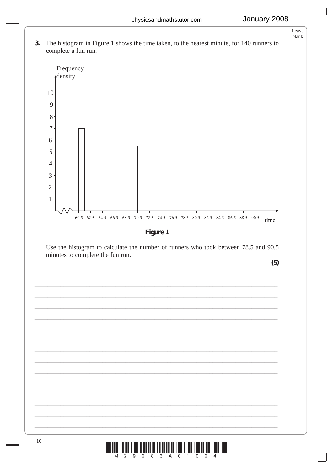



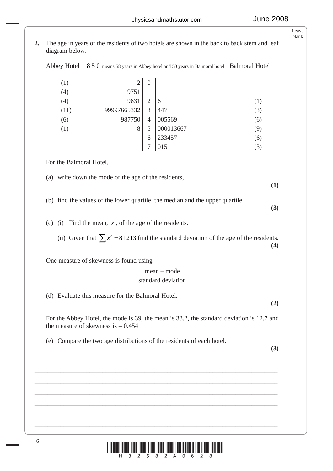**2.** The age in years of the residents of two hotels are shown in the back to back stem and leaf diagram below.

|  | Abbey Hotel $8\vert 5\vert 0$ means 58 years in Abbey hotel and 50 years in Balmoral hotel Balmoral Hotel |  |
|--|-----------------------------------------------------------------------------------------------------------|--|
|--|-----------------------------------------------------------------------------------------------------------|--|

| (1)  | 2           | 0              |           |     |
|------|-------------|----------------|-----------|-----|
| (4)  | 9751        | ı              |           |     |
| (4)  | 9831        | $\overline{2}$ | 6         | (1) |
| (11) | 99997665332 | 3              | 447       | (3) |
| (6)  | 987750      | $\overline{4}$ | 005569    | (6) |
| (1)  | 8           | 5              | 000013667 | (9) |
|      |             | 6              | 233457    | (6) |
|      |             | 7              | 015       | (3) |
|      |             |                |           |     |

For the Balmoral Hotel,

(a) write down the mode of the age of the residents,

**(1)**

**(3)**

- (b) find the values of the lower quartile, the median and the upper quartile.
- (c) (i) Find the mean,  $\bar{x}$ , of the age of the residents.
- (ii) Given that  $\sum x^2 = 81213$  find the standard deviation of the age of the residents. **(4)**

One measure of skewness is found using

# mean – mode

# standard deviation

(d) Evaluate this measure for the Balmoral Hotel.

**(2)**

 For the Abbey Hotel, the mode is 39, the mean is 33.2, the standard deviation is 12.7 and the measure of skewness is  $-0.454$ 

\_\_\_\_\_\_\_\_\_\_\_\_\_\_\_\_\_\_\_\_\_\_\_\_\_\_\_\_\_\_\_\_\_\_\_\_\_\_\_\_\_\_\_\_\_\_\_\_\_\_\_\_\_\_\_\_\_\_\_\_\_\_\_\_\_\_\_\_\_\_\_\_\_\_\_ \_\_\_\_\_\_\_\_\_\_\_\_\_\_\_\_\_\_\_\_\_\_\_\_\_\_\_\_\_\_\_\_\_\_\_\_\_\_\_\_\_\_\_\_\_\_\_\_\_\_\_\_\_\_\_\_\_\_\_\_\_\_\_\_\_\_\_\_\_\_\_\_\_\_\_ \_\_\_\_\_\_\_\_\_\_\_\_\_\_\_\_\_\_\_\_\_\_\_\_\_\_\_\_\_\_\_\_\_\_\_\_\_\_\_\_\_\_\_\_\_\_\_\_\_\_\_\_\_\_\_\_\_\_\_\_\_\_\_\_\_\_\_\_\_\_\_\_\_\_\_ \_\_\_\_\_\_\_\_\_\_\_\_\_\_\_\_\_\_\_\_\_\_\_\_\_\_\_\_\_\_\_\_\_\_\_\_\_\_\_\_\_\_\_\_\_\_\_\_\_\_\_\_\_\_\_\_\_\_\_\_\_\_\_\_\_\_\_\_\_\_\_\_\_\_\_ \_\_\_\_\_\_\_\_\_\_\_\_\_\_\_\_\_\_\_\_\_\_\_\_\_\_\_\_\_\_\_\_\_\_\_\_\_\_\_\_\_\_\_\_\_\_\_\_\_\_\_\_\_\_\_\_\_\_\_\_\_\_\_\_\_\_\_\_\_\_\_\_\_\_\_ \_\_\_\_\_\_\_\_\_\_\_\_\_\_\_\_\_\_\_\_\_\_\_\_\_\_\_\_\_\_\_\_\_\_\_\_\_\_\_\_\_\_\_\_\_\_\_\_\_\_\_\_\_\_\_\_\_\_\_\_\_\_\_\_\_\_\_\_\_\_\_\_\_\_\_ \_\_\_\_\_\_\_\_\_\_\_\_\_\_\_\_\_\_\_\_\_\_\_\_\_\_\_\_\_\_\_\_\_\_\_\_\_\_\_\_\_\_\_\_\_\_\_\_\_\_\_\_\_\_\_\_\_\_\_\_\_\_\_\_\_\_\_\_\_\_\_\_\_\_\_

(e) Compare the two age distributions of the residents of each hotel.

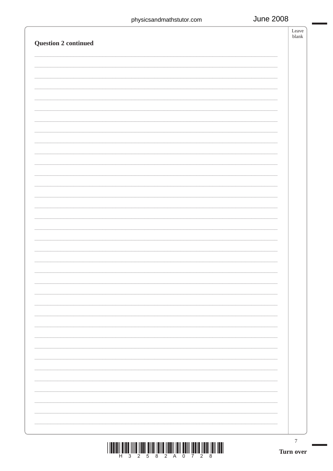| $\boldsymbol{7}$<br>Turn over |
|-------------------------------|
|                               |
|                               |
|                               |
|                               |
|                               |
|                               |
|                               |
|                               |
|                               |
|                               |
|                               |
|                               |
|                               |
|                               |
|                               |
|                               |
|                               |
|                               |
|                               |
|                               |
|                               |
|                               |
|                               |
|                               |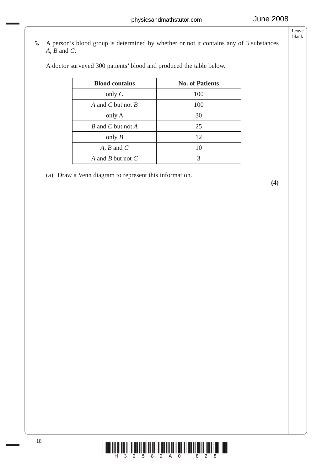**5.** A person's blood group is determined by whether or not it contains any of 3 substances *A*, *B* and *C*.

A doctor surveyed 300 patients' blood and produced the table below.

| <b>Blood contains</b> | <b>No. of Patients</b> |
|-----------------------|------------------------|
| only $C$              | 100                    |
| A and C but not B     | 100                    |
| only A                | 30                     |
| B and C but not A     | 25                     |
| only $B$              | 12                     |
| $A, B$ and $C$        | 10                     |
| A and B but not C     |                        |

(a) Draw a Venn diagram to represent this information.

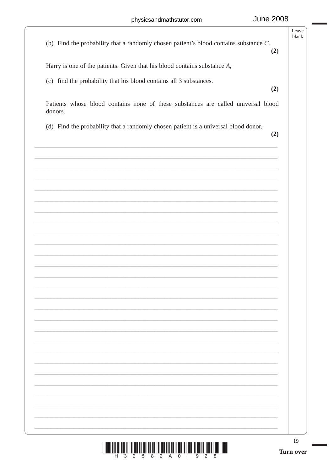| <u> III ali ishi mashrida ma'lumot oli ma</u><br>Ш<br>Ш<br>5<br>8<br>0                                                                            | 19<br><b>Turn over</b> |
|---------------------------------------------------------------------------------------------------------------------------------------------------|------------------------|
|                                                                                                                                                   |                        |
|                                                                                                                                                   |                        |
|                                                                                                                                                   |                        |
|                                                                                                                                                   |                        |
|                                                                                                                                                   |                        |
|                                                                                                                                                   |                        |
|                                                                                                                                                   |                        |
|                                                                                                                                                   |                        |
|                                                                                                                                                   |                        |
|                                                                                                                                                   |                        |
|                                                                                                                                                   |                        |
|                                                                                                                                                   | (2)                    |
| donors.<br>(d) Find the probability that a randomly chosen patient is a universal blood donor.                                                    |                        |
| Patients whose blood contains none of these substances are called universal blood                                                                 | (2)                    |
| Harry is one of the patients. Given that his blood contains substance $A$ ,<br>(c) find the probability that his blood contains all 3 substances. |                        |
| (b) Find the probability that a randomly chosen patient's blood contains substance $C$ .                                                          | (2)                    |
|                                                                                                                                                   | Leave<br>blank         |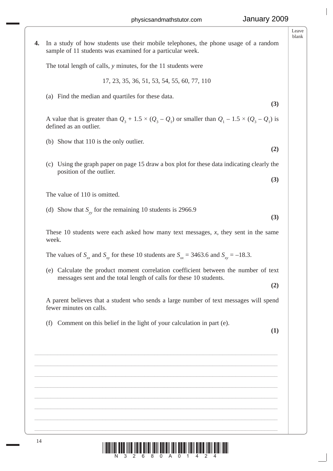**4.** In a study of how students use their mobile telephones, the phone usage of a random sample of 11 students was examined for a particular week. The total length of calls, *y* minutes, for the 11 students were 17, 23, 35, 36, 51, 53, 54, 55, 60, 77, 110 (a) Find the median and quartiles for these data. **(3)** A value that is greater than  $Q_3 + 1.5 \times (Q_3 - Q_1)$  or smaller than  $Q_1 - 1.5 \times (Q_3 - Q_1)$  is defined as an outlier. (b) Show that 110 is the only outlier.  **(2)** (c) Using the graph paper on page 15 draw a box plot for these data indicating clearly the position of the outlier. **(3)** The value of 110 is omitted. (d) Show that  $S_{yy}$  for the remaining 10 students is 2966.9 **(3)** These 10 students were each asked how many text messages, *x*, they sent in the same week. The values of  $S_{xx}$  and  $S_{yy}$  for these 10 students are  $S_{yx} = 3463.6$  and  $S_{xy} = -18.3$ . (e) Calculate the product moment correlation coefficient between the number of text messages sent and the total length of calls for these 10 students. **(2)** A parent believes that a student who sends a large number of text messages will spend fewer minutes on calls. (f) Comment on this belief in the light of your calculation in part (e). **(1)** \_\_\_\_\_\_\_\_\_\_\_\_\_\_\_\_\_\_\_\_\_\_\_\_\_\_\_\_\_\_\_\_\_\_\_\_\_\_\_\_\_\_\_\_\_\_\_\_\_\_\_\_\_\_\_\_\_\_\_\_\_\_\_\_\_\_\_\_\_\_\_\_\_\_\_ \_\_\_\_\_\_\_\_\_\_\_\_\_\_\_\_\_\_\_\_\_\_\_\_\_\_\_\_\_\_\_\_\_\_\_\_\_\_\_\_\_\_\_\_\_\_\_\_\_\_\_\_\_\_\_\_\_\_\_\_\_\_\_\_\_\_\_\_\_\_\_\_\_\_\_ \_\_\_\_\_\_\_\_\_\_\_\_\_\_\_\_\_\_\_\_\_\_\_\_\_\_\_\_\_\_\_\_\_\_\_\_\_\_\_\_\_\_\_\_\_\_\_\_\_\_\_\_\_\_\_\_\_\_\_\_\_\_\_\_\_\_\_\_\_\_\_\_\_\_\_ \_\_\_\_\_\_\_\_\_\_\_\_\_\_\_\_\_\_\_\_\_\_\_\_\_\_\_\_\_\_\_\_\_\_\_\_\_\_\_\_\_\_\_\_\_\_\_\_\_\_\_\_\_\_\_\_\_\_\_\_\_\_\_\_\_\_\_\_\_\_\_\_\_\_\_ \_\_\_\_\_\_\_\_\_\_\_\_\_\_\_\_\_\_\_\_\_\_\_\_\_\_\_\_\_\_\_\_\_\_\_\_\_\_\_\_\_\_\_\_\_\_\_\_\_\_\_\_\_\_\_\_\_\_\_\_\_\_\_\_\_\_\_\_\_\_\_\_\_\_\_ \_\_\_\_\_\_\_\_\_\_\_\_\_\_\_\_\_\_\_\_\_\_\_\_\_\_\_\_\_\_\_\_\_\_\_\_\_\_\_\_\_\_\_\_\_\_\_\_\_\_\_\_\_\_\_\_\_\_\_\_\_\_\_\_\_\_\_\_\_\_\_\_\_\_\_ \_\_\_\_\_\_\_\_\_\_\_\_\_\_\_\_\_\_\_\_\_\_\_\_\_\_\_\_\_\_\_\_\_\_\_\_\_\_\_\_\_\_\_\_\_\_\_\_\_\_\_\_\_\_\_\_\_\_\_\_\_\_\_\_\_\_\_\_\_\_\_\_\_\_\_ \_\_\_\_\_\_\_\_\_\_\_\_\_\_\_\_\_\_\_\_\_\_\_\_\_\_\_\_\_\_\_\_\_\_\_\_\_\_\_\_\_\_\_\_\_\_\_\_\_\_\_\_\_\_\_\_\_\_\_\_\_\_\_\_\_\_\_\_\_\_\_\_\_\_\_

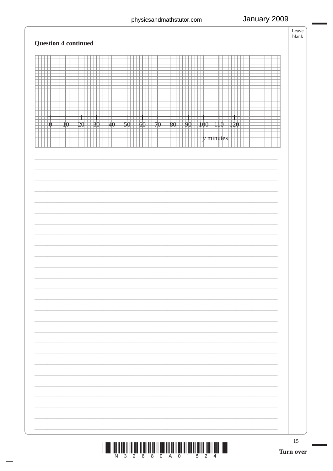# January 2009

## **Ouestion 4 continued**

| Question 4 continued                                                                                                                                                                                                                                       |  |
|------------------------------------------------------------------------------------------------------------------------------------------------------------------------------------------------------------------------------------------------------------|--|
| ──<br>.<br>$\Box$<br>- 1<br>. .<br>1325 3333 3<br>للالباط<br>$+40+50+60+70+80+9$<br>والموافي ويحرجهم والمرحوم<br>$\mathbf{I}$<br>$\exists 10$<br>$\Box$ 30<br>-20<br>$\Box 100$ $\Box 110$ $\Box$<br>120<br>$\mathbb{O}-$<br>90<br>╈╈<br><u>man n</u><br>. |  |
|                                                                                                                                                                                                                                                            |  |
|                                                                                                                                                                                                                                                            |  |
|                                                                                                                                                                                                                                                            |  |
|                                                                                                                                                                                                                                                            |  |
|                                                                                                                                                                                                                                                            |  |
|                                                                                                                                                                                                                                                            |  |



15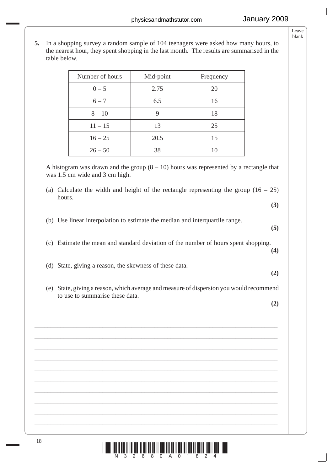- Leave blank
- **5.** In a shopping survey a random sample of 104 teenagers were asked how many hours, to the nearest hour, they spent shopping in the last month. The results are summarised in the table below.

| Number of hours | Mid-point | Frequency |
|-----------------|-----------|-----------|
| $0 - 5$         | 2.75      | 20        |
| $6 - 7$         | 6.5       | 16        |
| $8 - 10$        |           | 18        |
| $11 - 15$       | 13        | 25        |
| $16 - 25$       | 20.5      | 15        |
| $26 - 50$       | 38        | 10        |

A histogram was drawn and the group  $(8 - 10)$  hours was represented by a rectangle that was 1.5 cm wide and 3 cm high.

- (a) Calculate the width and height of the rectangle representing the group  $(16 25)$ hours.
- (b) Use linear interpolation to estimate the median and interquartile range.
- 
- (c) Estimate the mean and standard deviation of the number of hours spent shopping.
- (d) State, giving a reason, the skewness of these data.
- (e) State, giving a reason, which average and measure of dispersion you would recommend to use to summarise these data.

\_\_\_\_\_\_\_\_\_\_\_\_\_\_\_\_\_\_\_\_\_\_\_\_\_\_\_\_\_\_\_\_\_\_\_\_\_\_\_\_\_\_\_\_\_\_\_\_\_\_\_\_\_\_\_\_\_\_\_\_\_\_\_\_\_\_\_\_\_\_\_\_\_\_\_ \_\_\_\_\_\_\_\_\_\_\_\_\_\_\_\_\_\_\_\_\_\_\_\_\_\_\_\_\_\_\_\_\_\_\_\_\_\_\_\_\_\_\_\_\_\_\_\_\_\_\_\_\_\_\_\_\_\_\_\_\_\_\_\_\_\_\_\_\_\_\_\_\_\_\_ \_\_\_\_\_\_\_\_\_\_\_\_\_\_\_\_\_\_\_\_\_\_\_\_\_\_\_\_\_\_\_\_\_\_\_\_\_\_\_\_\_\_\_\_\_\_\_\_\_\_\_\_\_\_\_\_\_\_\_\_\_\_\_\_\_\_\_\_\_\_\_\_\_\_\_ \_\_\_\_\_\_\_\_\_\_\_\_\_\_\_\_\_\_\_\_\_\_\_\_\_\_\_\_\_\_\_\_\_\_\_\_\_\_\_\_\_\_\_\_\_\_\_\_\_\_\_\_\_\_\_\_\_\_\_\_\_\_\_\_\_\_\_\_\_\_\_\_\_\_\_ \_\_\_\_\_\_\_\_\_\_\_\_\_\_\_\_\_\_\_\_\_\_\_\_\_\_\_\_\_\_\_\_\_\_\_\_\_\_\_\_\_\_\_\_\_\_\_\_\_\_\_\_\_\_\_\_\_\_\_\_\_\_\_\_\_\_\_\_\_\_\_\_\_\_\_ \_\_\_\_\_\_\_\_\_\_\_\_\_\_\_\_\_\_\_\_\_\_\_\_\_\_\_\_\_\_\_\_\_\_\_\_\_\_\_\_\_\_\_\_\_\_\_\_\_\_\_\_\_\_\_\_\_\_\_\_\_\_\_\_\_\_\_\_\_\_\_\_\_\_\_ \_\_\_\_\_\_\_\_\_\_\_\_\_\_\_\_\_\_\_\_\_\_\_\_\_\_\_\_\_\_\_\_\_\_\_\_\_\_\_\_\_\_\_\_\_\_\_\_\_\_\_\_\_\_\_\_\_\_\_\_\_\_\_\_\_\_\_\_\_\_\_\_\_\_\_ \_\_\_\_\_\_\_\_\_\_\_\_\_\_\_\_\_\_\_\_\_\_\_\_\_\_\_\_\_\_\_\_\_\_\_\_\_\_\_\_\_\_\_\_\_\_\_\_\_\_\_\_\_\_\_\_\_\_\_\_\_\_\_\_\_\_\_\_\_\_\_\_\_\_\_ \_\_\_\_\_\_\_\_\_\_\_\_\_\_\_\_\_\_\_\_\_\_\_\_\_\_\_\_\_\_\_\_\_\_\_\_\_\_\_\_\_\_\_\_\_\_\_\_\_\_\_\_\_\_\_\_\_\_\_\_\_\_\_\_\_\_\_\_\_\_\_\_\_\_\_

**(2)**

**(3)**

**(5)**

**(4)**

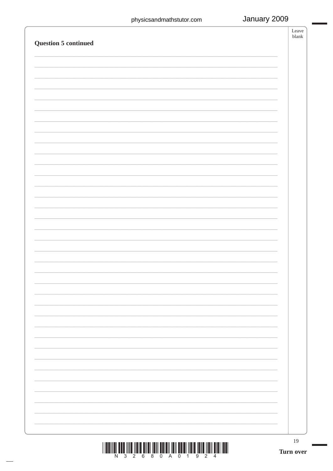| Question 5 continued | Leave<br>blank  |
|----------------------|-----------------|
|                      |                 |
|                      |                 |
|                      |                 |
|                      |                 |
|                      |                 |
|                      |                 |
|                      |                 |
|                      |                 |
|                      |                 |
|                      |                 |
|                      |                 |
|                      |                 |
|                      |                 |
|                      |                 |
|                      |                 |
|                      |                 |
|                      |                 |
|                      |                 |
|                      |                 |
|                      |                 |
|                      |                 |
|                      |                 |
|                      |                 |
|                      |                 |
|                      |                 |
|                      |                 |
|                      |                 |
|                      |                 |
|                      |                 |
|                      |                 |
|                      | 19<br>Turn over |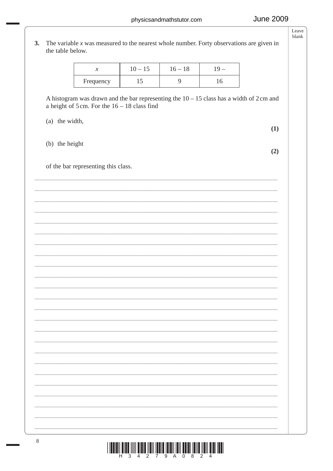|                | $\boldsymbol{\mathcal{X}}$                                                                                                                                      |           |                | $19 -$ |     |
|----------------|-----------------------------------------------------------------------------------------------------------------------------------------------------------------|-----------|----------------|--------|-----|
|                |                                                                                                                                                                 | $10 - 15$ | $16 - 18$      |        |     |
|                | Frequency                                                                                                                                                       | 15        | $\overline{9}$ | 16     |     |
|                | A histogram was drawn and the bar representing the $10 - 15$ class has a width of 2 cm and<br>a height of $5 \text{ cm}$ . For the $16 - 18 \text{ class find}$ |           |                |        |     |
| (a) the width, |                                                                                                                                                                 |           |                |        | (1) |
| (b) the height |                                                                                                                                                                 |           |                |        | (2) |
|                | of the bar representing this class.                                                                                                                             |           |                |        |     |
|                |                                                                                                                                                                 |           |                |        |     |
|                |                                                                                                                                                                 |           |                |        |     |
|                |                                                                                                                                                                 |           |                |        |     |
|                |                                                                                                                                                                 |           |                |        |     |
|                |                                                                                                                                                                 |           |                |        |     |
|                |                                                                                                                                                                 |           |                |        |     |
|                |                                                                                                                                                                 |           |                |        |     |
|                |                                                                                                                                                                 |           |                |        |     |
|                |                                                                                                                                                                 |           |                |        |     |
|                |                                                                                                                                                                 |           |                |        |     |
|                |                                                                                                                                                                 |           |                |        |     |
|                |                                                                                                                                                                 |           |                |        |     |
|                |                                                                                                                                                                 |           |                |        |     |
|                |                                                                                                                                                                 |           |                |        |     |
|                |                                                                                                                                                                 |           |                |        |     |
|                |                                                                                                                                                                 |           |                |        |     |
|                |                                                                                                                                                                 |           |                |        |     |
|                |                                                                                                                                                                 |           |                |        |     |
|                |                                                                                                                                                                 |           |                |        |     |
|                |                                                                                                                                                                 |           |                |        |     |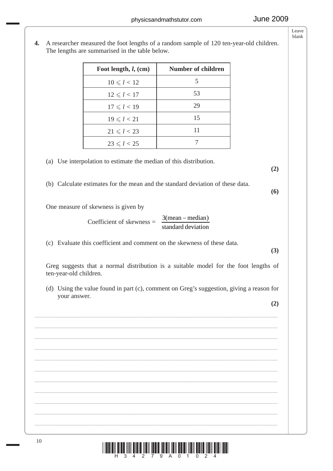- Foot length, *l*, (cm) Number of children  $10 \le l < 12$  5  $12 \le l < 17$  53  $17 \le l < 19$  29  $19 \le l < 21$  15  $21 \le l < 23$  11  $23 \le l < 25$  7 (a) Use interpolation to estimate the median of this distribution. **(2)** (b) Calculate estimates for the mean and the standard deviation of these data. **(6)** One measure of skewness is given by Coefficient of skewness  $=$ standard deviation  $3(mean - median)$  (c) Evaluate this coefficient and comment on the skewness of these data. **(3)** Greg suggests that a normal distribution is a suitable model for the foot lengths of ten-year-old children. (d) Using the value found in part (c), comment on Greg's suggestion, giving a reason for your answer. **(2)** \_\_\_\_\_\_\_\_\_\_\_\_\_\_\_\_\_\_\_\_\_\_\_\_\_\_\_\_\_\_\_\_\_\_\_\_\_\_\_\_\_\_\_\_\_\_\_\_\_\_\_\_\_\_\_\_\_\_\_\_\_\_\_\_\_\_\_\_\_\_\_\_\_\_\_ \_\_\_\_\_\_\_\_\_\_\_\_\_\_\_\_\_\_\_\_\_\_\_\_\_\_\_\_\_\_\_\_\_\_\_\_\_\_\_\_\_\_\_\_\_\_\_\_\_\_\_\_\_\_\_\_\_\_\_\_\_\_\_\_\_\_\_\_\_\_\_\_\_\_\_ \_\_\_\_\_\_\_\_\_\_\_\_\_\_\_\_\_\_\_\_\_\_\_\_\_\_\_\_\_\_\_\_\_\_\_\_\_\_\_\_\_\_\_\_\_\_\_\_\_\_\_\_\_\_\_\_\_\_\_\_\_\_\_\_\_\_\_\_\_\_\_\_\_\_\_ \_\_\_\_\_\_\_\_\_\_\_\_\_\_\_\_\_\_\_\_\_\_\_\_\_\_\_\_\_\_\_\_\_\_\_\_\_\_\_\_\_\_\_\_\_\_\_\_\_\_\_\_\_\_\_\_\_\_\_\_\_\_\_\_\_\_\_\_\_\_\_\_\_\_\_ \_\_\_\_\_\_\_\_\_\_\_\_\_\_\_\_\_\_\_\_\_\_\_\_\_\_\_\_\_\_\_\_\_\_\_\_\_\_\_\_\_\_\_\_\_\_\_\_\_\_\_\_\_\_\_\_\_\_\_\_\_\_\_\_\_\_\_\_\_\_\_\_\_\_\_ \_\_\_\_\_\_\_\_\_\_\_\_\_\_\_\_\_\_\_\_\_\_\_\_\_\_\_\_\_\_\_\_\_\_\_\_\_\_\_\_\_\_\_\_\_\_\_\_\_\_\_\_\_\_\_\_\_\_\_\_\_\_\_\_\_\_\_\_\_\_\_\_\_\_\_ \_\_\_\_\_\_\_\_\_\_\_\_\_\_\_\_\_\_\_\_\_\_\_\_\_\_\_\_\_\_\_\_\_\_\_\_\_\_\_\_\_\_\_\_\_\_\_\_\_\_\_\_\_\_\_\_\_\_\_\_\_\_\_\_\_\_\_\_\_\_\_\_\_\_\_ \_\_\_\_\_\_\_\_\_\_\_\_\_\_\_\_\_\_\_\_\_\_\_\_\_\_\_\_\_\_\_\_\_\_\_\_\_\_\_\_\_\_\_\_\_\_\_\_\_\_\_\_\_\_\_\_\_\_\_\_\_\_\_\_\_\_\_\_\_\_\_\_\_\_\_ \_\_\_\_\_\_\_\_\_\_\_\_\_\_\_\_\_\_\_\_\_\_\_\_\_\_\_\_\_\_\_\_\_\_\_\_\_\_\_\_\_\_\_\_\_\_\_\_\_\_\_\_\_\_\_\_\_\_\_\_\_\_\_\_\_\_\_\_\_\_\_\_\_\_\_ \_\_\_\_\_\_\_\_\_\_\_\_\_\_\_\_\_\_\_\_\_\_\_\_\_\_\_\_\_\_\_\_\_\_\_\_\_\_\_\_\_\_\_\_\_\_\_\_\_\_\_\_\_\_\_\_\_\_\_\_\_\_\_\_\_\_\_\_\_\_\_\_\_\_\_ \_\_\_\_\_\_\_\_\_\_\_\_\_\_\_\_\_\_\_\_\_\_\_\_\_\_\_\_\_\_\_\_\_\_\_\_\_\_\_\_\_\_\_\_\_\_\_\_\_\_\_\_\_\_\_\_\_\_\_\_\_\_\_\_\_\_\_\_\_\_\_\_\_\_\_
- **4.** A researcher measured the foot lengths of a random sample of 120 ten-year-old children. The lengths are summarised in the table below.

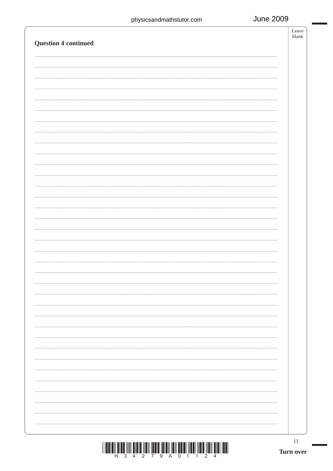|                             | 11 |
|-----------------------------|----|
|                             |    |
|                             |    |
|                             |    |
|                             |    |
|                             |    |
|                             |    |
|                             |    |
|                             |    |
|                             |    |
|                             |    |
| <b>Question 4 continued</b> |    |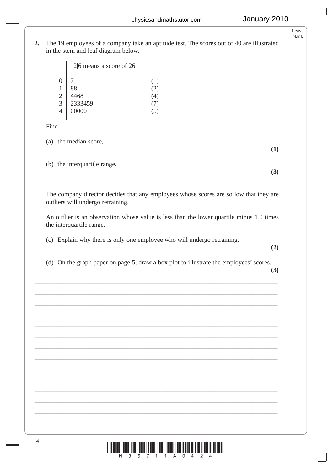**2.** The 19 employees of a company take an aptitude test. The scores out of 40 are illustrated in the stem and leaf diagram below.

|                | $2 6$ means a score of 26 |                |  |
|----------------|---------------------------|----------------|--|
|                |                           | (1)            |  |
|                | 88                        | $\overline{2}$ |  |
| $\overline{2}$ | 4468                      | ۰4,            |  |
| 3              | 2333459                   |                |  |
| 4              | 00000                     |                |  |

Find

(a) the median score,

(b) the interquartile range.

 The company director decides that any employees whose scores are so low that they are outliers will undergo retraining.

 An outlier is an observation whose value is less than the lower quartile minus 1.0 times the interquartile range.

(c) Explain why there is only one employee who will undergo retraining.

**(2)**

**(1)**

**(3)**

(d) On the graph paper on page 5, draw a box plot to illustrate the employees' scores.

\_\_\_\_\_\_\_\_\_\_\_\_\_\_\_\_\_\_\_\_\_\_\_\_\_\_\_\_\_\_\_\_\_\_\_\_\_\_\_\_\_\_\_\_\_\_\_\_\_\_\_\_\_\_\_\_\_\_\_\_\_\_\_\_\_\_\_\_\_\_\_\_\_\_\_ \_\_\_\_\_\_\_\_\_\_\_\_\_\_\_\_\_\_\_\_\_\_\_\_\_\_\_\_\_\_\_\_\_\_\_\_\_\_\_\_\_\_\_\_\_\_\_\_\_\_\_\_\_\_\_\_\_\_\_\_\_\_\_\_\_\_\_\_\_\_\_\_\_\_\_ \_\_\_\_\_\_\_\_\_\_\_\_\_\_\_\_\_\_\_\_\_\_\_\_\_\_\_\_\_\_\_\_\_\_\_\_\_\_\_\_\_\_\_\_\_\_\_\_\_\_\_\_\_\_\_\_\_\_\_\_\_\_\_\_\_\_\_\_\_\_\_\_\_\_\_ \_\_\_\_\_\_\_\_\_\_\_\_\_\_\_\_\_\_\_\_\_\_\_\_\_\_\_\_\_\_\_\_\_\_\_\_\_\_\_\_\_\_\_\_\_\_\_\_\_\_\_\_\_\_\_\_\_\_\_\_\_\_\_\_\_\_\_\_\_\_\_\_\_\_\_ \_\_\_\_\_\_\_\_\_\_\_\_\_\_\_\_\_\_\_\_\_\_\_\_\_\_\_\_\_\_\_\_\_\_\_\_\_\_\_\_\_\_\_\_\_\_\_\_\_\_\_\_\_\_\_\_\_\_\_\_\_\_\_\_\_\_\_\_\_\_\_\_\_\_\_ \_\_\_\_\_\_\_\_\_\_\_\_\_\_\_\_\_\_\_\_\_\_\_\_\_\_\_\_\_\_\_\_\_\_\_\_\_\_\_\_\_\_\_\_\_\_\_\_\_\_\_\_\_\_\_\_\_\_\_\_\_\_\_\_\_\_\_\_\_\_\_\_\_\_\_ \_\_\_\_\_\_\_\_\_\_\_\_\_\_\_\_\_\_\_\_\_\_\_\_\_\_\_\_\_\_\_\_\_\_\_\_\_\_\_\_\_\_\_\_\_\_\_\_\_\_\_\_\_\_\_\_\_\_\_\_\_\_\_\_\_\_\_\_\_\_\_\_\_\_\_ \_\_\_\_\_\_\_\_\_\_\_\_\_\_\_\_\_\_\_\_\_\_\_\_\_\_\_\_\_\_\_\_\_\_\_\_\_\_\_\_\_\_\_\_\_\_\_\_\_\_\_\_\_\_\_\_\_\_\_\_\_\_\_\_\_\_\_\_\_\_\_\_\_\_\_ \_\_\_\_\_\_\_\_\_\_\_\_\_\_\_\_\_\_\_\_\_\_\_\_\_\_\_\_\_\_\_\_\_\_\_\_\_\_\_\_\_\_\_\_\_\_\_\_\_\_\_\_\_\_\_\_\_\_\_\_\_\_\_\_\_\_\_\_\_\_\_\_\_\_\_ \_\_\_\_\_\_\_\_\_\_\_\_\_\_\_\_\_\_\_\_\_\_\_\_\_\_\_\_\_\_\_\_\_\_\_\_\_\_\_\_\_\_\_\_\_\_\_\_\_\_\_\_\_\_\_\_\_\_\_\_\_\_\_\_\_\_\_\_\_\_\_\_\_\_\_ \_\_\_\_\_\_\_\_\_\_\_\_\_\_\_\_\_\_\_\_\_\_\_\_\_\_\_\_\_\_\_\_\_\_\_\_\_\_\_\_\_\_\_\_\_\_\_\_\_\_\_\_\_\_\_\_\_\_\_\_\_\_\_\_\_\_\_\_\_\_\_\_\_\_\_ \_\_\_\_\_\_\_\_\_\_\_\_\_\_\_\_\_\_\_\_\_\_\_\_\_\_\_\_\_\_\_\_\_\_\_\_\_\_\_\_\_\_\_\_\_\_\_\_\_\_\_\_\_\_\_\_\_\_\_\_\_\_\_\_\_\_\_\_\_\_\_\_\_\_\_ \_\_\_\_\_\_\_\_\_\_\_\_\_\_\_\_\_\_\_\_\_\_\_\_\_\_\_\_\_\_\_\_\_\_\_\_\_\_\_\_\_\_\_\_\_\_\_\_\_\_\_\_\_\_\_\_\_\_\_\_\_\_\_\_\_\_\_\_\_\_\_\_\_\_\_ \_\_\_\_\_\_\_\_\_\_\_\_\_\_\_\_\_\_\_\_\_\_\_\_\_\_\_\_\_\_\_\_\_\_\_\_\_\_\_\_\_\_\_\_\_\_\_\_\_\_\_\_\_\_\_\_\_\_\_\_\_\_\_\_\_\_\_\_\_\_\_\_\_\_\_

**(3)**

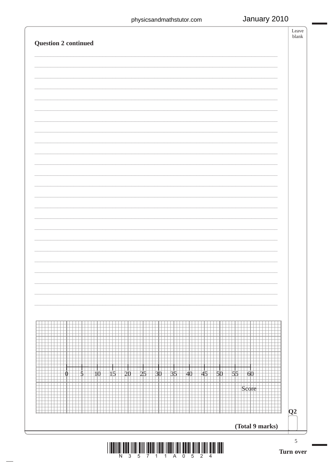# January 2010

| <b>Question 2 continued</b> |                |                 |                  |
|-----------------------------|----------------|-----------------|------------------|
|                             |                |                 |                  |
|                             |                |                 |                  |
|                             |                |                 |                  |
|                             |                |                 |                  |
|                             |                |                 |                  |
|                             |                |                 |                  |
|                             |                |                 |                  |
|                             |                |                 |                  |
|                             |                |                 |                  |
|                             |                |                 |                  |
|                             |                |                 |                  |
|                             |                |                 |                  |
|                             |                |                 |                  |
|                             |                |                 |                  |
|                             |                |                 |                  |
|                             |                |                 |                  |
|                             |                |                 |                  |
|                             |                |                 |                  |
|                             |                |                 |                  |
|                             |                |                 |                  |
| 35<br>25<br>30<br>15<br>20  | 45<br>50<br>40 | 55<br>60        |                  |
|                             |                | Score           |                  |
|                             |                |                 |                  |
|                             |                |                 | $\overline{Q^2}$ |
|                             |                | (Total 9 marks) |                  |
|                             |                |                 | $\sqrt{5}$       |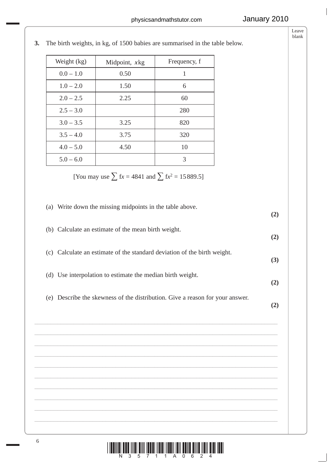|                                                                          | Weight (kg) | Midpoint, xkg                                              | Frequency, f                                                                  |     |
|--------------------------------------------------------------------------|-------------|------------------------------------------------------------|-------------------------------------------------------------------------------|-----|
|                                                                          | $0.0-1.0\,$ | 0.50                                                       | $\mathbf{1}$                                                                  |     |
|                                                                          | $1.0 - 2.0$ | 1.50                                                       | 6                                                                             |     |
|                                                                          | $2.0 - 2.5$ | 2.25                                                       | 60                                                                            |     |
|                                                                          | $2.5 - 3.0$ |                                                            | 280                                                                           |     |
|                                                                          | $3.0 - 3.5$ | 3.25                                                       | 820                                                                           |     |
|                                                                          | $3.5 - 4.0$ | 3.75                                                       | 320                                                                           |     |
|                                                                          | $4.0 - 5.0$ | 4.50                                                       | 10                                                                            |     |
|                                                                          | $5.0 - 6.0$ |                                                            | 3                                                                             |     |
|                                                                          |             | (a) Write down the missing midpoints in the table above.   |                                                                               | (2) |
| (b) Calculate an estimate of the mean birth weight.                      |             |                                                            |                                                                               |     |
| (c) Calculate an estimate of the standard deviation of the birth weight. |             |                                                            |                                                                               |     |
|                                                                          |             | (d) Use interpolation to estimate the median birth weight. |                                                                               | (2) |
|                                                                          |             |                                                            | (e) Describe the skewness of the distribution. Give a reason for your answer. | (2) |

**3.** The birth weights, in kg, of 1500 babies are summarised in the table below.

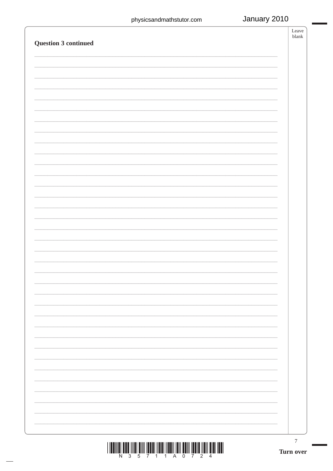# January 2010

|                      | Leave<br>blank |
|----------------------|----------------|
| Question 3 continued |                |
|                      |                |
|                      |                |
|                      |                |
|                      |                |
|                      |                |
|                      |                |
|                      |                |
|                      |                |
|                      |                |
|                      |                |
|                      |                |
|                      |                |
|                      |                |
|                      |                |
|                      |                |
|                      |                |
|                      |                |
|                      |                |
|                      |                |
|                      |                |
|                      |                |
|                      |                |
|                      |                |
|                      |                |
|                      |                |
|                      |                |
|                      |                |
|                      |                |
|                      |                |
|                      |                |
|                      |                |
|                      |                |
|                      |                |
|                      |                |
|                      |                |
|                      |                |
|                      |                |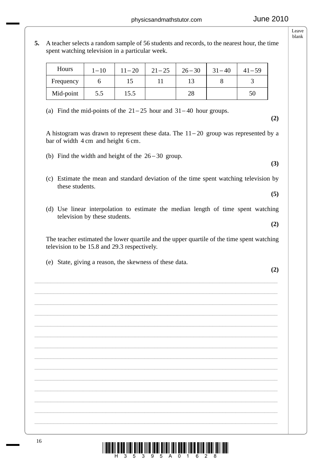**(2)**

**(3)**

**(5)**

**(2)**

**5.** A teacher selects a random sample of 56 students and records, to the nearest hour, the time spent watching television in a particular week.

| Hours     | $1 - 10$ | $11 - 20$ | $21 - 25$ | $26 - 30$ | $31 - 40$ | $41 - 59$ |
|-----------|----------|-----------|-----------|-----------|-----------|-----------|
| Frequency |          | 15        |           |           |           |           |
| Mid-point | 5.5      | 15.5      |           | 28        |           | 50        |

- (a) Find the mid-points of the  $21 25$  hour and  $31 40$  hour groups.
- A histogram was drawn to represent these data. The  $11 20$  group was represented by a bar of width 4 cm and height 6 cm.
- (b) Find the width and height of the  $26 30$  group.
- (c) Estimate the mean and standard deviation of the time spent watching television by these students.
- (d) Use linear interpolation to estimate the median length of time spent watching television by these students.

 The teacher estimated the lower quartile and the upper quartile of the time spent watching television to be 15.8 and 29.3 respectively.

\_\_\_\_\_\_\_\_\_\_\_\_\_\_\_\_\_\_\_\_\_\_\_\_\_\_\_\_\_\_\_\_\_\_\_\_\_\_\_\_\_\_\_\_\_\_\_\_\_\_\_\_\_\_\_\_\_\_\_\_\_\_\_\_\_\_\_\_\_\_\_\_\_\_\_ \_\_\_\_\_\_\_\_\_\_\_\_\_\_\_\_\_\_\_\_\_\_\_\_\_\_\_\_\_\_\_\_\_\_\_\_\_\_\_\_\_\_\_\_\_\_\_\_\_\_\_\_\_\_\_\_\_\_\_\_\_\_\_\_\_\_\_\_\_\_\_\_\_\_\_ \_\_\_\_\_\_\_\_\_\_\_\_\_\_\_\_\_\_\_\_\_\_\_\_\_\_\_\_\_\_\_\_\_\_\_\_\_\_\_\_\_\_\_\_\_\_\_\_\_\_\_\_\_\_\_\_\_\_\_\_\_\_\_\_\_\_\_\_\_\_\_\_\_\_\_ \_\_\_\_\_\_\_\_\_\_\_\_\_\_\_\_\_\_\_\_\_\_\_\_\_\_\_\_\_\_\_\_\_\_\_\_\_\_\_\_\_\_\_\_\_\_\_\_\_\_\_\_\_\_\_\_\_\_\_\_\_\_\_\_\_\_\_\_\_\_\_\_\_\_\_ \_\_\_\_\_\_\_\_\_\_\_\_\_\_\_\_\_\_\_\_\_\_\_\_\_\_\_\_\_\_\_\_\_\_\_\_\_\_\_\_\_\_\_\_\_\_\_\_\_\_\_\_\_\_\_\_\_\_\_\_\_\_\_\_\_\_\_\_\_\_\_\_\_\_\_ \_\_\_\_\_\_\_\_\_\_\_\_\_\_\_\_\_\_\_\_\_\_\_\_\_\_\_\_\_\_\_\_\_\_\_\_\_\_\_\_\_\_\_\_\_\_\_\_\_\_\_\_\_\_\_\_\_\_\_\_\_\_\_\_\_\_\_\_\_\_\_\_\_\_\_ \_\_\_\_\_\_\_\_\_\_\_\_\_\_\_\_\_\_\_\_\_\_\_\_\_\_\_\_\_\_\_\_\_\_\_\_\_\_\_\_\_\_\_\_\_\_\_\_\_\_\_\_\_\_\_\_\_\_\_\_\_\_\_\_\_\_\_\_\_\_\_\_\_\_\_ \_\_\_\_\_\_\_\_\_\_\_\_\_\_\_\_\_\_\_\_\_\_\_\_\_\_\_\_\_\_\_\_\_\_\_\_\_\_\_\_\_\_\_\_\_\_\_\_\_\_\_\_\_\_\_\_\_\_\_\_\_\_\_\_\_\_\_\_\_\_\_\_\_\_\_ \_\_\_\_\_\_\_\_\_\_\_\_\_\_\_\_\_\_\_\_\_\_\_\_\_\_\_\_\_\_\_\_\_\_\_\_\_\_\_\_\_\_\_\_\_\_\_\_\_\_\_\_\_\_\_\_\_\_\_\_\_\_\_\_\_\_\_\_\_\_\_\_\_\_\_ \_\_\_\_\_\_\_\_\_\_\_\_\_\_\_\_\_\_\_\_\_\_\_\_\_\_\_\_\_\_\_\_\_\_\_\_\_\_\_\_\_\_\_\_\_\_\_\_\_\_\_\_\_\_\_\_\_\_\_\_\_\_\_\_\_\_\_\_\_\_\_\_\_\_\_ \_\_\_\_\_\_\_\_\_\_\_\_\_\_\_\_\_\_\_\_\_\_\_\_\_\_\_\_\_\_\_\_\_\_\_\_\_\_\_\_\_\_\_\_\_\_\_\_\_\_\_\_\_\_\_\_\_\_\_\_\_\_\_\_\_\_\_\_\_\_\_\_\_\_\_ \_\_\_\_\_\_\_\_\_\_\_\_\_\_\_\_\_\_\_\_\_\_\_\_\_\_\_\_\_\_\_\_\_\_\_\_\_\_\_\_\_\_\_\_\_\_\_\_\_\_\_\_\_\_\_\_\_\_\_\_\_\_\_\_\_\_\_\_\_\_\_\_\_\_\_ \_\_\_\_\_\_\_\_\_\_\_\_\_\_\_\_\_\_\_\_\_\_\_\_\_\_\_\_\_\_\_\_\_\_\_\_\_\_\_\_\_\_\_\_\_\_\_\_\_\_\_\_\_\_\_\_\_\_\_\_\_\_\_\_\_\_\_\_\_\_\_\_\_\_\_ \_\_\_\_\_\_\_\_\_\_\_\_\_\_\_\_\_\_\_\_\_\_\_\_\_\_\_\_\_\_\_\_\_\_\_\_\_\_\_\_\_\_\_\_\_\_\_\_\_\_\_\_\_\_\_\_\_\_\_\_\_\_\_\_\_\_\_\_\_\_\_\_\_\_\_

(e) State, giving a reason, the skewness of these data.

blank

Leave

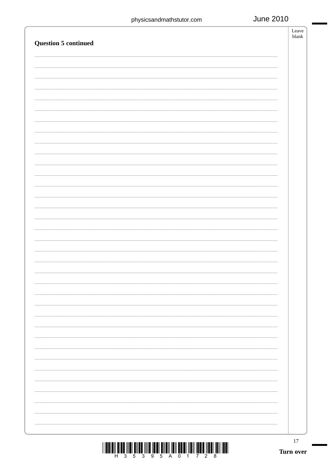| <b>Question 5 continued</b> | Leave<br>$\ensuremath{\textrm{blank}}$ |
|-----------------------------|----------------------------------------|
|                             |                                        |
|                             |                                        |
|                             |                                        |
|                             |                                        |
|                             |                                        |
|                             |                                        |
|                             |                                        |
|                             |                                        |
|                             |                                        |
|                             |                                        |
|                             |                                        |
|                             |                                        |
|                             |                                        |
|                             |                                        |
|                             |                                        |
|                             |                                        |
|                             |                                        |
|                             |                                        |
|                             |                                        |
|                             |                                        |
|                             |                                        |
|                             |                                        |
|                             |                                        |
|                             |                                        |
|                             |                                        |
|                             |                                        |
|                             |                                        |
|                             |                                        |
|                             |                                        |
|                             |                                        |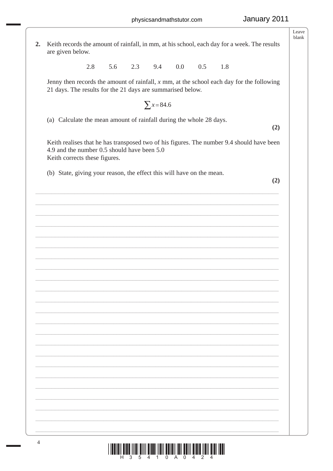$2.$ Keith records the amount of rainfall, in mm, at his school, each day for a week. The results are given below.

> 2.8 5.6  $2.3$ 9.4  $0.0$  $0.5$ 1.8

Jenny then records the amount of rainfall,  $x$  mm, at the school each day for the following 21 days. The results for the 21 days are summarised below.

$$
\sum x = 84.6
$$

(a) Calculate the mean amount of rainfall during the whole 28 days.

 $(2)$ 

Keith realises that he has transposed two of his figures. The number 9.4 should have been 4.9 and the number 0.5 should have been 5.0 Keith corrects these figures.

(b) State, giving your reason, the effect this will have on the mean.

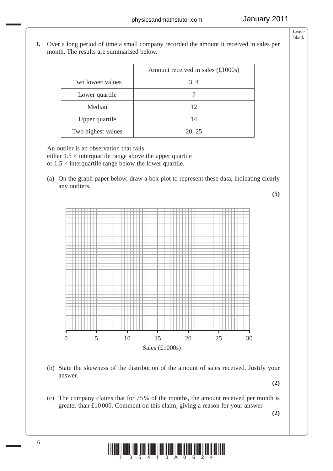**3.** Over a long period of time a small company recorded the amount it received in sales per month. The results are summarised below.

|                    | Amount received in sales $(\text{\pounds}1000s)$ |
|--------------------|--------------------------------------------------|
| Two lowest values  | 3, 4                                             |
| Lower quartile     |                                                  |
| Median             | 12                                               |
| Upper quartile     | 14                                               |
| Two highest values | 20, 25                                           |

An outlier is an observation that falls

either  $1.5 \times$  interquartile range above the upper quartile or  $1.5 \times$  interquartile range below the lower quartile.

 (a) On the graph paper below, draw a box plot to represent these data, indicating clearly any outliers.





 (b) State the skewness of the distribution of the amount of sales received. Justify your answer.

**(2)**

 (c) The company claims that for 75 % of the months, the amount received per month is greater than £10 000. Comment on this claim, giving a reason for your answer.

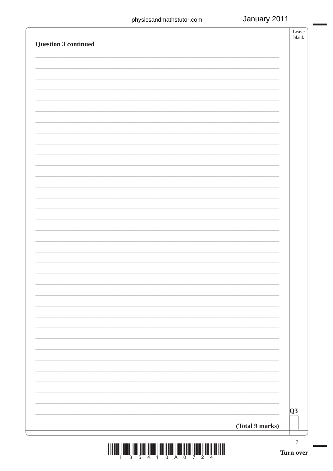| <b>Question 3 continued</b> |                 | Leave<br>blank             |
|-----------------------------|-----------------|----------------------------|
|                             |                 |                            |
|                             |                 |                            |
|                             |                 |                            |
|                             |                 |                            |
|                             |                 |                            |
|                             |                 |                            |
|                             |                 |                            |
|                             |                 |                            |
|                             |                 |                            |
|                             |                 |                            |
|                             |                 |                            |
|                             |                 |                            |
|                             |                 |                            |
|                             |                 |                            |
|                             |                 |                            |
|                             |                 |                            |
|                             |                 |                            |
|                             |                 |                            |
|                             |                 |                            |
|                             |                 |                            |
|                             |                 |                            |
|                             |                 |                            |
|                             |                 |                            |
|                             |                 |                            |
|                             |                 |                            |
|                             |                 | $\overline{\overline{Q3}}$ |
|                             | (Total 9 marks) |                            |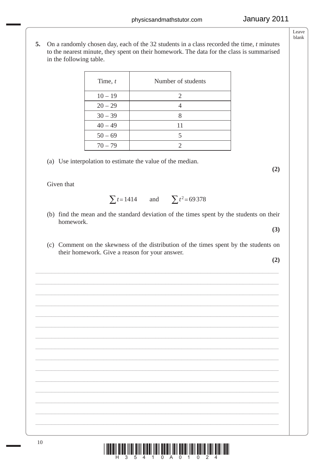**5.** On a randomly chosen day, each of the 32 students in a class recorded the time, *t* minutes to the nearest minute, they spent on their homework. The data for the class is summarised in the following table.

| Time, $t$ | Number of students |
|-----------|--------------------|
| $10 - 19$ | 2                  |
| $20 - 29$ |                    |
| $30 - 39$ |                    |
| $40 - 49$ | 11                 |
| $50 - 69$ | 5                  |
| $70 - 79$ |                    |

(a) Use interpolation to estimate the value of the median.

Given that

 $\sum t = 1414$  and  $\sum t^2 = 69378$ 

- (b) find the mean and the standard deviation of the times spent by the students on their homework.
- (c) Comment on the skewness of the distribution of the times spent by the students on their homework. Give a reason for your answer.

\_\_\_\_\_\_\_\_\_\_\_\_\_\_\_\_\_\_\_\_\_\_\_\_\_\_\_\_\_\_\_\_\_\_\_\_\_\_\_\_\_\_\_\_\_\_\_\_\_\_\_\_\_\_\_\_\_\_\_\_\_\_\_\_\_\_\_\_\_\_\_\_\_\_\_ \_\_\_\_\_\_\_\_\_\_\_\_\_\_\_\_\_\_\_\_\_\_\_\_\_\_\_\_\_\_\_\_\_\_\_\_\_\_\_\_\_\_\_\_\_\_\_\_\_\_\_\_\_\_\_\_\_\_\_\_\_\_\_\_\_\_\_\_\_\_\_\_\_\_\_ \_\_\_\_\_\_\_\_\_\_\_\_\_\_\_\_\_\_\_\_\_\_\_\_\_\_\_\_\_\_\_\_\_\_\_\_\_\_\_\_\_\_\_\_\_\_\_\_\_\_\_\_\_\_\_\_\_\_\_\_\_\_\_\_\_\_\_\_\_\_\_\_\_\_\_ \_\_\_\_\_\_\_\_\_\_\_\_\_\_\_\_\_\_\_\_\_\_\_\_\_\_\_\_\_\_\_\_\_\_\_\_\_\_\_\_\_\_\_\_\_\_\_\_\_\_\_\_\_\_\_\_\_\_\_\_\_\_\_\_\_\_\_\_\_\_\_\_\_\_\_ \_\_\_\_\_\_\_\_\_\_\_\_\_\_\_\_\_\_\_\_\_\_\_\_\_\_\_\_\_\_\_\_\_\_\_\_\_\_\_\_\_\_\_\_\_\_\_\_\_\_\_\_\_\_\_\_\_\_\_\_\_\_\_\_\_\_\_\_\_\_\_\_\_\_\_ \_\_\_\_\_\_\_\_\_\_\_\_\_\_\_\_\_\_\_\_\_\_\_\_\_\_\_\_\_\_\_\_\_\_\_\_\_\_\_\_\_\_\_\_\_\_\_\_\_\_\_\_\_\_\_\_\_\_\_\_\_\_\_\_\_\_\_\_\_\_\_\_\_\_\_ \_\_\_\_\_\_\_\_\_\_\_\_\_\_\_\_\_\_\_\_\_\_\_\_\_\_\_\_\_\_\_\_\_\_\_\_\_\_\_\_\_\_\_\_\_\_\_\_\_\_\_\_\_\_\_\_\_\_\_\_\_\_\_\_\_\_\_\_\_\_\_\_\_\_\_ \_\_\_\_\_\_\_\_\_\_\_\_\_\_\_\_\_\_\_\_\_\_\_\_\_\_\_\_\_\_\_\_\_\_\_\_\_\_\_\_\_\_\_\_\_\_\_\_\_\_\_\_\_\_\_\_\_\_\_\_\_\_\_\_\_\_\_\_\_\_\_\_\_\_\_ \_\_\_\_\_\_\_\_\_\_\_\_\_\_\_\_\_\_\_\_\_\_\_\_\_\_\_\_\_\_\_\_\_\_\_\_\_\_\_\_\_\_\_\_\_\_\_\_\_\_\_\_\_\_\_\_\_\_\_\_\_\_\_\_\_\_\_\_\_\_\_\_\_\_\_ \_\_\_\_\_\_\_\_\_\_\_\_\_\_\_\_\_\_\_\_\_\_\_\_\_\_\_\_\_\_\_\_\_\_\_\_\_\_\_\_\_\_\_\_\_\_\_\_\_\_\_\_\_\_\_\_\_\_\_\_\_\_\_\_\_\_\_\_\_\_\_\_\_\_\_ \_\_\_\_\_\_\_\_\_\_\_\_\_\_\_\_\_\_\_\_\_\_\_\_\_\_\_\_\_\_\_\_\_\_\_\_\_\_\_\_\_\_\_\_\_\_\_\_\_\_\_\_\_\_\_\_\_\_\_\_\_\_\_\_\_\_\_\_\_\_\_\_\_\_\_ \_\_\_\_\_\_\_\_\_\_\_\_\_\_\_\_\_\_\_\_\_\_\_\_\_\_\_\_\_\_\_\_\_\_\_\_\_\_\_\_\_\_\_\_\_\_\_\_\_\_\_\_\_\_\_\_\_\_\_\_\_\_\_\_\_\_\_\_\_\_\_\_\_\_\_ \_\_\_\_\_\_\_\_\_\_\_\_\_\_\_\_\_\_\_\_\_\_\_\_\_\_\_\_\_\_\_\_\_\_\_\_\_\_\_\_\_\_\_\_\_\_\_\_\_\_\_\_\_\_\_\_\_\_\_\_\_\_\_\_\_\_\_\_\_\_\_\_\_\_\_ \_\_\_\_\_\_\_\_\_\_\_\_\_\_\_\_\_\_\_\_\_\_\_\_\_\_\_\_\_\_\_\_\_\_\_\_\_\_\_\_\_\_\_\_\_\_\_\_\_\_\_\_\_\_\_\_\_\_\_\_\_\_\_\_\_\_\_\_\_\_\_\_\_\_\_ \_\_\_\_\_\_\_\_\_\_\_\_\_\_\_\_\_\_\_\_\_\_\_\_\_\_\_\_\_\_\_\_\_\_\_\_\_\_\_\_\_\_\_\_\_\_\_\_\_\_\_\_\_\_\_\_\_\_\_\_\_\_\_\_\_\_\_\_\_\_\_\_\_\_\_

**(2)**

**(3)**

 $\begin{split} \text{if} \ \prod_{i=1}^n \prod_{j=1}^n \prod_{j=1}^n \prod_{j=1}^n \prod_{j=1}^n \prod_{j=1}^n \prod_{j=1}^n \prod_{j=1}^n \prod_{j=1}^n \prod_{j=1}^n \prod_{j=1}^n \prod_{j=1}^n \prod_{j=1}^n \prod_{j=1}^n \prod_{j=1}^n \prod_{j=1}^n \prod_{j=1}^n \prod_{j=1}^n \prod_{j=1}^n \prod_{j=1}^n \prod_{j=1}^n \prod_{j=1}^n \prod_{j=1}^n \prod$ 

Leave blank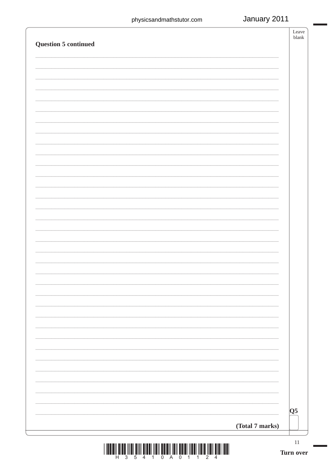| <b>Question 5 continued</b> |                 | Leave<br>blank |
|-----------------------------|-----------------|----------------|
|                             |                 |                |
|                             |                 |                |
|                             |                 |                |
|                             |                 |                |
|                             |                 |                |
|                             |                 |                |
|                             |                 |                |
|                             |                 |                |
|                             |                 |                |
|                             |                 |                |
|                             |                 |                |
|                             |                 |                |
|                             |                 |                |
|                             |                 |                |
|                             |                 |                |
|                             |                 |                |
|                             |                 |                |
|                             |                 |                |
|                             |                 |                |
|                             |                 |                |
|                             |                 |                |
|                             |                 |                |
|                             |                 |                |
|                             |                 |                |
|                             |                 |                |
|                             |                 |                |
|                             |                 |                |
|                             |                 | Q5             |
|                             | (Total 7 marks) |                |
|                             |                 | 11             |
|                             |                 | Turn over      |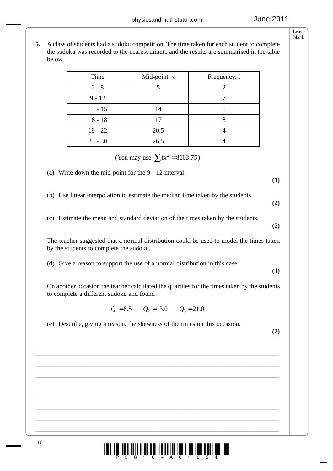**5.** A class of students had a sudoku competition. The time taken for each student to complete the sudoku was recorded to the nearest minute and the results are summarised in the table below.

| Time      | Mid-point, $x$ | Frequency, f |
|-----------|----------------|--------------|
| $2 - 8$   |                | 2            |
| $9 - 12$  |                |              |
| $13 - 15$ | 14             |              |
| $16 - 18$ | 17             |              |
| $19 - 22$ | 20.5           |              |
| $23 - 30$ | 26.5           |              |

(You may use  $\sum fx^2 = 8603.75$ )

(a) Write down the mid-point for the 9 - 12 interval.

(b) Use linear interpolation to estimate the median time taken by the students.

- (c) Estimate the mean and standard deviation of the times taken by the students.
- The teacher suggested that a normal distribution could be used to model the times taken by the students to complete the sudoku.
- (d) Give a reason to support the use of a normal distribution in this case.

 On another occasion the teacher calculated the quartiles for the times taken by the students to complete a different sudoku and found

 $Q_1 = 8.5$   $Q_2 = 13.0$   $Q_3 = 21.0$ 

\_\_\_\_\_\_\_\_\_\_\_\_\_\_\_\_\_\_\_\_\_\_\_\_\_\_\_\_\_\_\_\_\_\_\_\_\_\_\_\_\_\_\_\_\_\_\_\_\_\_\_\_\_\_\_\_\_\_\_\_\_\_\_\_\_\_\_\_\_\_\_\_\_\_\_ \_\_\_\_\_\_\_\_\_\_\_\_\_\_\_\_\_\_\_\_\_\_\_\_\_\_\_\_\_\_\_\_\_\_\_\_\_\_\_\_\_\_\_\_\_\_\_\_\_\_\_\_\_\_\_\_\_\_\_\_\_\_\_\_\_\_\_\_\_\_\_\_\_\_\_ \_\_\_\_\_\_\_\_\_\_\_\_\_\_\_\_\_\_\_\_\_\_\_\_\_\_\_\_\_\_\_\_\_\_\_\_\_\_\_\_\_\_\_\_\_\_\_\_\_\_\_\_\_\_\_\_\_\_\_\_\_\_\_\_\_\_\_\_\_\_\_\_\_\_\_ \_\_\_\_\_\_\_\_\_\_\_\_\_\_\_\_\_\_\_\_\_\_\_\_\_\_\_\_\_\_\_\_\_\_\_\_\_\_\_\_\_\_\_\_\_\_\_\_\_\_\_\_\_\_\_\_\_\_\_\_\_\_\_\_\_\_\_\_\_\_\_\_\_\_\_ \_\_\_\_\_\_\_\_\_\_\_\_\_\_\_\_\_\_\_\_\_\_\_\_\_\_\_\_\_\_\_\_\_\_\_\_\_\_\_\_\_\_\_\_\_\_\_\_\_\_\_\_\_\_\_\_\_\_\_\_\_\_\_\_\_\_\_\_\_\_\_\_\_\_\_ \_\_\_\_\_\_\_\_\_\_\_\_\_\_\_\_\_\_\_\_\_\_\_\_\_\_\_\_\_\_\_\_\_\_\_\_\_\_\_\_\_\_\_\_\_\_\_\_\_\_\_\_\_\_\_\_\_\_\_\_\_\_\_\_\_\_\_\_\_\_\_\_\_\_\_ \_\_\_\_\_\_\_\_\_\_\_\_\_\_\_\_\_\_\_\_\_\_\_\_\_\_\_\_\_\_\_\_\_\_\_\_\_\_\_\_\_\_\_\_\_\_\_\_\_\_\_\_\_\_\_\_\_\_\_\_\_\_\_\_\_\_\_\_\_\_\_\_\_\_\_ \_\_\_\_\_\_\_\_\_\_\_\_\_\_\_\_\_\_\_\_\_\_\_\_\_\_\_\_\_\_\_\_\_\_\_\_\_\_\_\_\_\_\_\_\_\_\_\_\_\_\_\_\_\_\_\_\_\_\_\_\_\_\_\_\_\_\_\_\_\_\_\_\_\_\_ \_\_\_\_\_\_\_\_\_\_\_\_\_\_\_\_\_\_\_\_\_\_\_\_\_\_\_\_\_\_\_\_\_\_\_\_\_\_\_\_\_\_\_\_\_\_\_\_\_\_\_\_\_\_\_\_\_\_\_\_\_\_\_\_\_\_\_\_\_\_\_\_\_\_\_

**(2)**

**(1)**

**(2)**

**(5)**

**(1)**

(e) Describe, giving a reason, the skewness of the times on this occasion.





Leave blank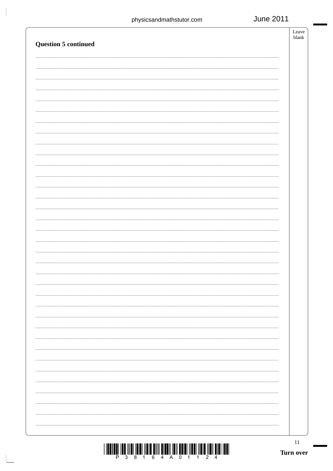| <b>Question 5 continued</b> | Leave<br>blank |
|-----------------------------|----------------|
|                             |                |
|                             |                |
|                             |                |
|                             |                |
|                             |                |
|                             |                |
|                             |                |
|                             |                |
|                             |                |
|                             |                |
|                             |                |
|                             |                |
|                             |                |
|                             |                |
|                             |                |
|                             |                |
|                             |                |
|                             |                |
|                             |                |
|                             |                |
|                             |                |
|                             |                |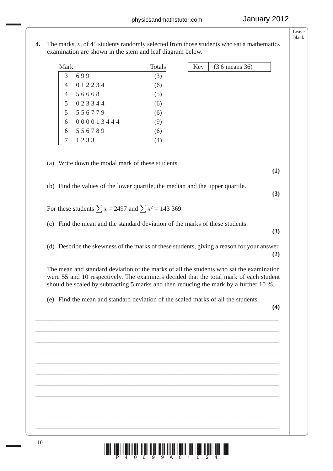<sup>10</sup> \*P40699A01024\* **4.** The marks, *x*, of 45 students randomly selected from those students who sat a mathematics examination are shown in the stem and leaf diagram below. Mark Totals  $3 | 699$  (3)  $4 \mid 0 \mid 2 \mid 2 \mid 3 \mid 4$  (6)  $4 \mid 56668$  (5)  $5 \mid 0 \ 2 \ 3 \ 3 \ 4 \ 4$  (6)  $5 \mid 5 \; 5 \; 6 \; 7 \; 7 \; 9$  (6)  $6 | 0 0 0 0 1 3 4 4 4$  (9)  $6 \mid 5\,5\,6\,7\,8\,9$  (6)  $7 \mid 1 \n2 \n3 \n3 \n(4)$  (a) Write down the modal mark of these students. **(1)** (b) Find the values of the lower quartile, the median and the upper quartile. **(3)** For these students  $\sum x = 2497$  and  $\sum x^2 = 143369$  (c) Find the mean and the standard deviation of the marks of these students. **(3)** (d) Describe the skewness of the marks of these students, giving a reason for your answer. **(2)** The mean and standard deviation of the marks of all the students who sat the examination were 55 and 10 respectively. The examiners decided that the total mark of each student should be scaled by subtracting 5 marks and then reducing the mark by a further 10 %. (e) Find the mean and standard deviation of the scaled marks of all the students. **(4)** \_\_\_\_\_\_\_\_\_\_\_\_\_\_\_\_\_\_\_\_\_\_\_\_\_\_\_\_\_\_\_\_\_\_\_\_\_\_\_\_\_\_\_\_\_\_\_\_\_\_\_\_\_\_\_\_\_\_\_\_\_\_\_\_\_\_\_\_\_\_\_\_\_\_\_ \_\_\_\_\_\_\_\_\_\_\_\_\_\_\_\_\_\_\_\_\_\_\_\_\_\_\_\_\_\_\_\_\_\_\_\_\_\_\_\_\_\_\_\_\_\_\_\_\_\_\_\_\_\_\_\_\_\_\_\_\_\_\_\_\_\_\_\_\_\_\_\_\_\_\_ \_\_\_\_\_\_\_\_\_\_\_\_\_\_\_\_\_\_\_\_\_\_\_\_\_\_\_\_\_\_\_\_\_\_\_\_\_\_\_\_\_\_\_\_\_\_\_\_\_\_\_\_\_\_\_\_\_\_\_\_\_\_\_\_\_\_\_\_\_\_\_\_\_\_\_ \_\_\_\_\_\_\_\_\_\_\_\_\_\_\_\_\_\_\_\_\_\_\_\_\_\_\_\_\_\_\_\_\_\_\_\_\_\_\_\_\_\_\_\_\_\_\_\_\_\_\_\_\_\_\_\_\_\_\_\_\_\_\_\_\_\_\_\_\_\_\_\_\_\_\_ \_\_\_\_\_\_\_\_\_\_\_\_\_\_\_\_\_\_\_\_\_\_\_\_\_\_\_\_\_\_\_\_\_\_\_\_\_\_\_\_\_\_\_\_\_\_\_\_\_\_\_\_\_\_\_\_\_\_\_\_\_\_\_\_\_\_\_\_\_\_\_\_\_\_\_ \_\_\_\_\_\_\_\_\_\_\_\_\_\_\_\_\_\_\_\_\_\_\_\_\_\_\_\_\_\_\_\_\_\_\_\_\_\_\_\_\_\_\_\_\_\_\_\_\_\_\_\_\_\_\_\_\_\_\_\_\_\_\_\_\_\_\_\_\_\_\_\_\_\_\_ \_\_\_\_\_\_\_\_\_\_\_\_\_\_\_\_\_\_\_\_\_\_\_\_\_\_\_\_\_\_\_\_\_\_\_\_\_\_\_\_\_\_\_\_\_\_\_\_\_\_\_\_\_\_\_\_\_\_\_\_\_\_\_\_\_\_\_\_\_\_\_\_\_\_\_ \_\_\_\_\_\_\_\_\_\_\_\_\_\_\_\_\_\_\_\_\_\_\_\_\_\_\_\_\_\_\_\_\_\_\_\_\_\_\_\_\_\_\_\_\_\_\_\_\_\_\_\_\_\_\_\_\_\_\_\_\_\_\_\_\_\_\_\_\_\_\_\_\_\_\_ \_\_\_\_\_\_\_\_\_\_\_\_\_\_\_\_\_\_\_\_\_\_\_\_\_\_\_\_\_\_\_\_\_\_\_\_\_\_\_\_\_\_\_\_\_\_\_\_\_\_\_\_\_\_\_\_\_\_\_\_\_\_\_\_\_\_\_\_\_\_\_\_\_\_\_ \_\_\_\_\_\_\_\_\_\_\_\_\_\_\_\_\_\_\_\_\_\_\_\_\_\_\_\_\_\_\_\_\_\_\_\_\_\_\_\_\_\_\_\_\_\_\_\_\_\_\_\_\_\_\_\_\_\_\_\_\_\_\_\_\_\_\_\_\_\_\_\_\_\_\_ \_\_\_\_\_\_\_\_\_\_\_\_\_\_\_\_\_\_\_\_\_\_\_\_\_\_\_\_\_\_\_\_\_\_\_\_\_\_\_\_\_\_\_\_\_\_\_\_\_\_\_\_\_\_\_\_\_\_\_\_\_\_\_\_\_\_\_\_\_\_\_\_\_\_\_ Key  $(3|6 \text{ means } 36)$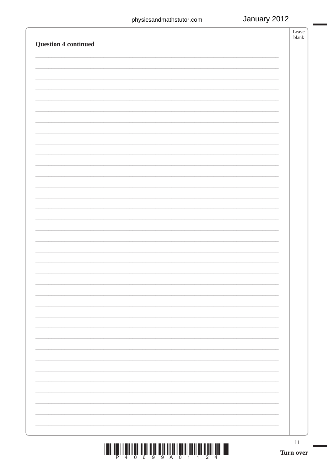| $\begin{array}{c} \hbox{  l  l  } \hbox{  l  } \hbox{  l  } \hbox{  l  } \hbox{  l  } \hbox{  l  } \hbox{  l  } \hbox{  l  } \hbox{  l  } \hbox{  l  } \hbox{  l  } \hbox{  l  } \hbox{  l  } \hbox{  l  } \hbox{  l  } \hbox{  l  } \hbox{  l  } \hbox{  l  } \hbox{  l  } \hbox{  l  } \hbox{  l  } \hbox{  l  } \hbox{  l  } \hbox{  l  } \hbox{  l  } \hbox{  l  } \hbox$ | $11\,$<br>Turn over |
|-------------------------------------------------------------------------------------------------------------------------------------------------------------------------------------------------------------------------------------------------------------------------------------------------------------------------------------------------------------------------------|---------------------|
|                                                                                                                                                                                                                                                                                                                                                                               |                     |
|                                                                                                                                                                                                                                                                                                                                                                               |                     |
|                                                                                                                                                                                                                                                                                                                                                                               |                     |
|                                                                                                                                                                                                                                                                                                                                                                               |                     |
|                                                                                                                                                                                                                                                                                                                                                                               |                     |
|                                                                                                                                                                                                                                                                                                                                                                               |                     |
|                                                                                                                                                                                                                                                                                                                                                                               |                     |
|                                                                                                                                                                                                                                                                                                                                                                               |                     |
|                                                                                                                                                                                                                                                                                                                                                                               |                     |
|                                                                                                                                                                                                                                                                                                                                                                               |                     |
|                                                                                                                                                                                                                                                                                                                                                                               |                     |
|                                                                                                                                                                                                                                                                                                                                                                               |                     |
|                                                                                                                                                                                                                                                                                                                                                                               |                     |
|                                                                                                                                                                                                                                                                                                                                                                               |                     |
|                                                                                                                                                                                                                                                                                                                                                                               |                     |
|                                                                                                                                                                                                                                                                                                                                                                               |                     |
|                                                                                                                                                                                                                                                                                                                                                                               |                     |
|                                                                                                                                                                                                                                                                                                                                                                               |                     |
|                                                                                                                                                                                                                                                                                                                                                                               |                     |
|                                                                                                                                                                                                                                                                                                                                                                               |                     |
|                                                                                                                                                                                                                                                                                                                                                                               |                     |
|                                                                                                                                                                                                                                                                                                                                                                               |                     |
|                                                                                                                                                                                                                                                                                                                                                                               |                     |
|                                                                                                                                                                                                                                                                                                                                                                               |                     |
|                                                                                                                                                                                                                                                                                                                                                                               |                     |
| <b>Question 4 continued</b>                                                                                                                                                                                                                                                                                                                                                   | blank               |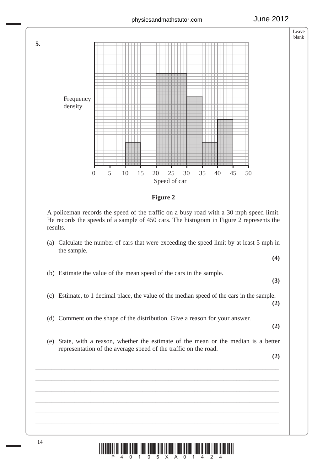



 A policeman records the speed of the traffic on a busy road with a 30 mph speed limit. He records the speeds of a sample of 450 cars. The histogram in Figure 2 represents the results.

 (a) Calculate the number of cars that were exceeding the speed limit by at least 5 mph in the sample.

**(4)**

(b) Estimate the value of the mean speed of the cars in the sample.

**(3)**

(c) Estimate, to 1 decimal place, the value of the median speed of the cars in the sample.

(d) Comment on the shape of the distribution. Give a reason for your answer.

**(2)**

**(2)**

 (e) State, with a reason, whether the estimate of the mean or the median is a better representation of the average speed of the traffic on the road.

\_\_\_\_\_\_\_\_\_\_\_\_\_\_\_\_\_\_\_\_\_\_\_\_\_\_\_\_\_\_\_\_\_\_\_\_\_\_\_\_\_\_\_\_\_\_\_\_\_\_\_\_\_\_\_\_\_\_\_\_\_\_\_\_\_\_\_\_\_\_\_\_\_\_\_ \_\_\_\_\_\_\_\_\_\_\_\_\_\_\_\_\_\_\_\_\_\_\_\_\_\_\_\_\_\_\_\_\_\_\_\_\_\_\_\_\_\_\_\_\_\_\_\_\_\_\_\_\_\_\_\_\_\_\_\_\_\_\_\_\_\_\_\_\_\_\_\_\_\_\_ \_\_\_\_\_\_\_\_\_\_\_\_\_\_\_\_\_\_\_\_\_\_\_\_\_\_\_\_\_\_\_\_\_\_\_\_\_\_\_\_\_\_\_\_\_\_\_\_\_\_\_\_\_\_\_\_\_\_\_\_\_\_\_\_\_\_\_\_\_\_\_\_\_\_\_ \_\_\_\_\_\_\_\_\_\_\_\_\_\_\_\_\_\_\_\_\_\_\_\_\_\_\_\_\_\_\_\_\_\_\_\_\_\_\_\_\_\_\_\_\_\_\_\_\_\_\_\_\_\_\_\_\_\_\_\_\_\_\_\_\_\_\_\_\_\_\_\_\_\_\_ \_\_\_\_\_\_\_\_\_\_\_\_\_\_\_\_\_\_\_\_\_\_\_\_\_\_\_\_\_\_\_\_\_\_\_\_\_\_\_\_\_\_\_\_\_\_\_\_\_\_\_\_\_\_\_\_\_\_\_\_\_\_\_\_\_\_\_\_\_\_\_\_\_\_\_ \_\_\_\_\_\_\_\_\_\_\_\_\_\_\_\_\_\_\_\_\_\_\_\_\_\_\_\_\_\_\_\_\_\_\_\_\_\_\_\_\_\_\_\_\_\_\_\_\_\_\_\_\_\_\_\_\_\_\_\_\_\_\_\_\_\_\_\_\_\_\_\_\_\_\_

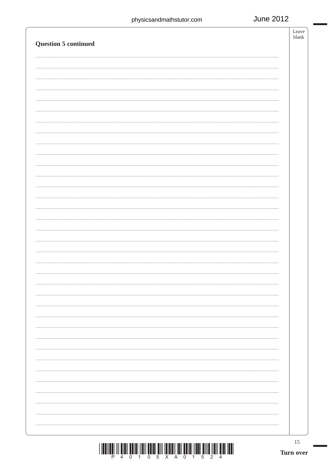| $\begin{array}{c} \text{if} \ \text{if} \ \text{if} \ \text{if} \ \text{if} \ \text{if} \ \text{if} \ \text{if} \ \text{if} \ \text{if} \ \text{if} \ \text{if} \ \text{if} \ \text{if} \ \text{if} \ \text{if} \ \text{if} \ \text{if} \ \text{if} \ \text{if} \ \text{if} \ \text{if} \ \text{if} \ \text{if} \ \text{if} \ \text{if} \ \text{if} \ \text{if} \ \text{if} \ \text{if} \ \text{if} \ \text{if} \ \text{if} \ \text{if} \ \text{if} \ \text{$ | 15<br>Turn over |
|---------------------------------------------------------------------------------------------------------------------------------------------------------------------------------------------------------------------------------------------------------------------------------------------------------------------------------------------------------------------------------------------------------------------------------------------------------------|-----------------|
|                                                                                                                                                                                                                                                                                                                                                                                                                                                               |                 |
|                                                                                                                                                                                                                                                                                                                                                                                                                                                               |                 |
|                                                                                                                                                                                                                                                                                                                                                                                                                                                               |                 |
|                                                                                                                                                                                                                                                                                                                                                                                                                                                               |                 |
|                                                                                                                                                                                                                                                                                                                                                                                                                                                               |                 |
|                                                                                                                                                                                                                                                                                                                                                                                                                                                               |                 |
|                                                                                                                                                                                                                                                                                                                                                                                                                                                               |                 |
|                                                                                                                                                                                                                                                                                                                                                                                                                                                               |                 |
|                                                                                                                                                                                                                                                                                                                                                                                                                                                               |                 |
| Question 5 continued                                                                                                                                                                                                                                                                                                                                                                                                                                          |                 |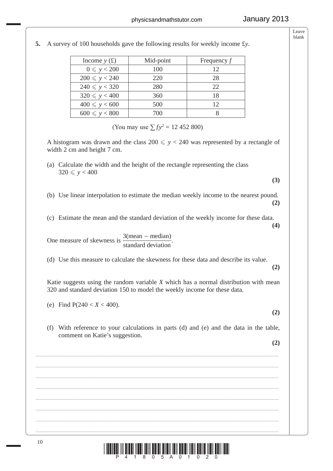| Income $y(t)$         | Mid-point | Frequency $f$ |
|-----------------------|-----------|---------------|
| $0 \leqslant y < 200$ | 100       | 12            |
| $200 \le y < 240$     | 220       | 28            |
| $240 \le y < 320$     | 280       | 22            |
| $320 \le y < 400$     | 360       | 18            |
| $400 \le y < 600$     | 500       | 12            |
| $600 \le y < 800$     | 700       |               |

**5.** A survey of 100 households gave the following results for weekly income £*y*.

(You may use  $\sum f y^2 = 12$  452 800)

A histogram was drawn and the class  $200 \le y < 240$  was represented by a rectangle of width 2 cm and height 7 cm.

- (a) Calculate the width and the height of the rectangle representing the class  $320 \le y < 400$
- (b) Use linear interpolation to estimate the median weekly income to the nearest pound. **(2)**
- (c) Estimate the mean and the standard deviation of the weekly income for these data.

One measure of skewness is  $\frac{3(mean - median)}{1 + 1}$ standard deviation  $-\text{median}$ .

(d) Use this measure to calculate the skewness for these data and describe its value.

 Katie suggests using the random variable *X* which has a normal distribution with mean 320 and standard deviation 150 to model the weekly income for these data.

(e) Find 
$$
P(240 < X < 400)
$$
.

**(2)**

**(3)**

**(4)**

**(2)**

(f) With reference to your calculations in parts (d) and (e) and the data in the table, comment on Katie's suggestion.

\_\_\_\_\_\_\_\_\_\_\_\_\_\_\_\_\_\_\_\_\_\_\_\_\_\_\_\_\_\_\_\_\_\_\_\_\_\_\_\_\_\_\_\_\_\_\_\_\_\_\_\_\_\_\_\_\_\_\_\_\_\_\_\_\_\_\_\_\_\_\_\_\_\_\_ \_\_\_\_\_\_\_\_\_\_\_\_\_\_\_\_\_\_\_\_\_\_\_\_\_\_\_\_\_\_\_\_\_\_\_\_\_\_\_\_\_\_\_\_\_\_\_\_\_\_\_\_\_\_\_\_\_\_\_\_\_\_\_\_\_\_\_\_\_\_\_\_\_\_\_ \_\_\_\_\_\_\_\_\_\_\_\_\_\_\_\_\_\_\_\_\_\_\_\_\_\_\_\_\_\_\_\_\_\_\_\_\_\_\_\_\_\_\_\_\_\_\_\_\_\_\_\_\_\_\_\_\_\_\_\_\_\_\_\_\_\_\_\_\_\_\_\_\_\_\_ \_\_\_\_\_\_\_\_\_\_\_\_\_\_\_\_\_\_\_\_\_\_\_\_\_\_\_\_\_\_\_\_\_\_\_\_\_\_\_\_\_\_\_\_\_\_\_\_\_\_\_\_\_\_\_\_\_\_\_\_\_\_\_\_\_\_\_\_\_\_\_\_\_\_\_ \_\_\_\_\_\_\_\_\_\_\_\_\_\_\_\_\_\_\_\_\_\_\_\_\_\_\_\_\_\_\_\_\_\_\_\_\_\_\_\_\_\_\_\_\_\_\_\_\_\_\_\_\_\_\_\_\_\_\_\_\_\_\_\_\_\_\_\_\_\_\_\_\_\_\_ \_\_\_\_\_\_\_\_\_\_\_\_\_\_\_\_\_\_\_\_\_\_\_\_\_\_\_\_\_\_\_\_\_\_\_\_\_\_\_\_\_\_\_\_\_\_\_\_\_\_\_\_\_\_\_\_\_\_\_\_\_\_\_\_\_\_\_\_\_\_\_\_\_\_\_ \_\_\_\_\_\_\_\_\_\_\_\_\_\_\_\_\_\_\_\_\_\_\_\_\_\_\_\_\_\_\_\_\_\_\_\_\_\_\_\_\_\_\_\_\_\_\_\_\_\_\_\_\_\_\_\_\_\_\_\_\_\_\_\_\_\_\_\_\_\_\_\_\_\_\_ \_\_\_\_\_\_\_\_\_\_\_\_\_\_\_\_\_\_\_\_\_\_\_\_\_\_\_\_\_\_\_\_\_\_\_\_\_\_\_\_\_\_\_\_\_\_\_\_\_\_\_\_\_\_\_\_\_\_\_\_\_\_\_\_\_\_\_\_\_\_\_\_\_\_\_

**(2)**

10  $\frac{1}{p}$   $\frac{1}{4}$   $\frac{1}{4}$   $\frac{1}{8}$   $\frac{1}{8}$   $\frac{1}{6}$   $\frac{1}{8}$   $\frac{1}{8}$   $\frac{1}{8}$   $\frac{1}{8}$   $\frac{1}{8}$   $\frac{1}{8}$   $\frac{1}{10}$   $\frac{1}{8}$   $\frac{1}{10}$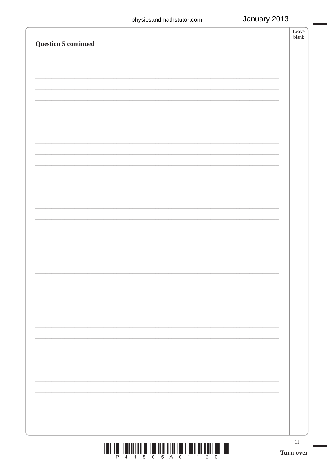|                      | $11\,$<br>Turn over |  |
|----------------------|---------------------|--|
|                      |                     |  |
|                      |                     |  |
|                      |                     |  |
|                      |                     |  |
|                      |                     |  |
|                      |                     |  |
|                      |                     |  |
|                      |                     |  |
|                      |                     |  |
|                      |                     |  |
|                      |                     |  |
|                      |                     |  |
|                      |                     |  |
|                      |                     |  |
|                      |                     |  |
|                      |                     |  |
|                      |                     |  |
|                      |                     |  |
|                      |                     |  |
|                      |                     |  |
|                      |                     |  |
| Question 5 continued |                     |  |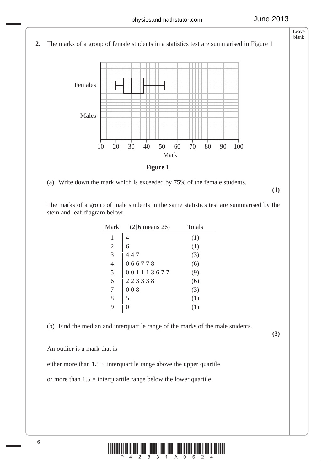

**Figure 1**

(a) Write down the mark which is exceeded by 75% of the female students.

**(1)**

 The marks of a group of male students in the same statistics test are summarised by the stem and leaf diagram below.

| $(2 6$ means 26) | <b>Totals</b> |
|------------------|---------------|
| 4                | (1)           |
| 6                | (1)           |
| 447              | (3)           |
| 066778           | (6)           |
| 001113677        | (9)           |
| 223338           | (6)           |
| 008              | (3)           |
| 5                | (1)           |
| 0                | (1)           |
|                  |               |

(b) Find the median and interquartile range of the marks of the male students.

**(3)**

An outlier is a mark that is

either more than  $1.5 \times$  interquartile range above the upper quartile

or more than  $1.5 \times$  interquartile range below the lower quartile.

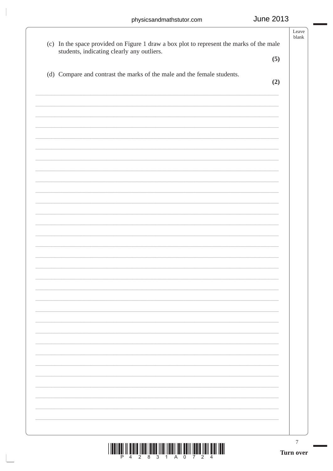$\overline{\phantom{a}}$ 

|                                                                                                                                        | Leave<br>blank |
|----------------------------------------------------------------------------------------------------------------------------------------|----------------|
| (c) In the space provided on Figure 1 draw a box plot to represent the marks of the male<br>students, indicating clearly any outliers. |                |
|                                                                                                                                        | (5)            |
| (d) Compare and contrast the marks of the male and the female students.                                                                |                |
|                                                                                                                                        | (2)            |
|                                                                                                                                        |                |
|                                                                                                                                        |                |
|                                                                                                                                        |                |
|                                                                                                                                        |                |
|                                                                                                                                        |                |
|                                                                                                                                        |                |
|                                                                                                                                        |                |
|                                                                                                                                        |                |
|                                                                                                                                        |                |
|                                                                                                                                        |                |
|                                                                                                                                        |                |
|                                                                                                                                        |                |
|                                                                                                                                        |                |
|                                                                                                                                        |                |
|                                                                                                                                        |                |
|                                                                                                                                        |                |
|                                                                                                                                        |                |
|                                                                                                                                        |                |
|                                                                                                                                        |                |
|                                                                                                                                        |                |
|                                                                                                                                        |                |
|                                                                                                                                        |                |
|                                                                                                                                        |                |
|                                                                                                                                        |                |
|                                                                                                                                        |                |
|                                                                                                                                        |                |
|                                                                                                                                        |                |
|                                                                                                                                        |                |
|                                                                                                                                        |                |
|                                                                                                                                        |                |
|                                                                                                                                        | 7<br>Turn over |
| Ρ<br>2<br>8<br>0<br>3<br>Α<br>2<br>1                                                                                                   |                |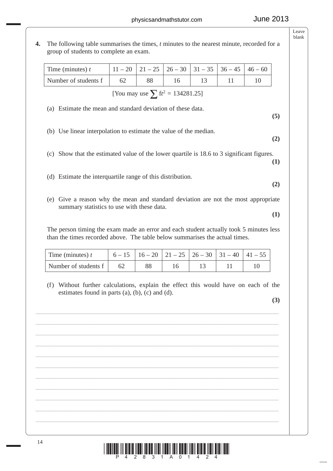**(5)**

**(2)**

**(1)**

**(2)**

**(1)**

Leave blank

**4.** The following table summarises the times, *t* minutes to the nearest minute, recorded for a group of students to complete an exam.

| Time (minutes) $t$   | $11-20$   21 - 25   26 - 30   31 - 35   36 - 45   46 - 60 |  |  |
|----------------------|-----------------------------------------------------------|--|--|
| Number of students f |                                                           |  |  |

[You may use  $\sum$   $ft^2 = 134281.25$ ]

(a) Estimate the mean and standard deviation of these data.

- (b) Use linear interpolation to estimate the value of the median.
- (c) Show that the estimated value of the lower quartile is 18.6 to 3 significant figures.
- (d) Estimate the interquartile range of this distribution.
- (e) Give a reason why the mean and standard deviation are not the most appropriate summary statistics to use with these data.

 The person timing the exam made an error and each student actually took 5 minutes less than the times recorded above. The table below summarises the actual times.

| Time (minutes) $t$   |  | $6-15$   $16-20$   $21-25$   $26-30$   $31-40$   $41-55$ |  |  |
|----------------------|--|----------------------------------------------------------|--|--|
| Number of students f |  |                                                          |  |  |

\_\_\_\_\_\_\_\_\_\_\_\_\_\_\_\_\_\_\_\_\_\_\_\_\_\_\_\_\_\_\_\_\_\_\_\_\_\_\_\_\_\_\_\_\_\_\_\_\_\_\_\_\_\_\_\_\_\_\_\_\_\_\_\_\_\_\_\_\_\_\_\_\_\_\_ \_\_\_\_\_\_\_\_\_\_\_\_\_\_\_\_\_\_\_\_\_\_\_\_\_\_\_\_\_\_\_\_\_\_\_\_\_\_\_\_\_\_\_\_\_\_\_\_\_\_\_\_\_\_\_\_\_\_\_\_\_\_\_\_\_\_\_\_\_\_\_\_\_\_\_ \_\_\_\_\_\_\_\_\_\_\_\_\_\_\_\_\_\_\_\_\_\_\_\_\_\_\_\_\_\_\_\_\_\_\_\_\_\_\_\_\_\_\_\_\_\_\_\_\_\_\_\_\_\_\_\_\_\_\_\_\_\_\_\_\_\_\_\_\_\_\_\_\_\_\_ \_\_\_\_\_\_\_\_\_\_\_\_\_\_\_\_\_\_\_\_\_\_\_\_\_\_\_\_\_\_\_\_\_\_\_\_\_\_\_\_\_\_\_\_\_\_\_\_\_\_\_\_\_\_\_\_\_\_\_\_\_\_\_\_\_\_\_\_\_\_\_\_\_\_\_ \_\_\_\_\_\_\_\_\_\_\_\_\_\_\_\_\_\_\_\_\_\_\_\_\_\_\_\_\_\_\_\_\_\_\_\_\_\_\_\_\_\_\_\_\_\_\_\_\_\_\_\_\_\_\_\_\_\_\_\_\_\_\_\_\_\_\_\_\_\_\_\_\_\_\_ \_\_\_\_\_\_\_\_\_\_\_\_\_\_\_\_\_\_\_\_\_\_\_\_\_\_\_\_\_\_\_\_\_\_\_\_\_\_\_\_\_\_\_\_\_\_\_\_\_\_\_\_\_\_\_\_\_\_\_\_\_\_\_\_\_\_\_\_\_\_\_\_\_\_\_ \_\_\_\_\_\_\_\_\_\_\_\_\_\_\_\_\_\_\_\_\_\_\_\_\_\_\_\_\_\_\_\_\_\_\_\_\_\_\_\_\_\_\_\_\_\_\_\_\_\_\_\_\_\_\_\_\_\_\_\_\_\_\_\_\_\_\_\_\_\_\_\_\_\_\_ \_\_\_\_\_\_\_\_\_\_\_\_\_\_\_\_\_\_\_\_\_\_\_\_\_\_\_\_\_\_\_\_\_\_\_\_\_\_\_\_\_\_\_\_\_\_\_\_\_\_\_\_\_\_\_\_\_\_\_\_\_\_\_\_\_\_\_\_\_\_\_\_\_\_\_ \_\_\_\_\_\_\_\_\_\_\_\_\_\_\_\_\_\_\_\_\_\_\_\_\_\_\_\_\_\_\_\_\_\_\_\_\_\_\_\_\_\_\_\_\_\_\_\_\_\_\_\_\_\_\_\_\_\_\_\_\_\_\_\_\_\_\_\_\_\_\_\_\_\_\_ \_\_\_\_\_\_\_\_\_\_\_\_\_\_\_\_\_\_\_\_\_\_\_\_\_\_\_\_\_\_\_\_\_\_\_\_\_\_\_\_\_\_\_\_\_\_\_\_\_\_\_\_\_\_\_\_\_\_\_\_\_\_\_\_\_\_\_\_\_\_\_\_\_\_\_ \_\_\_\_\_\_\_\_\_\_\_\_\_\_\_\_\_\_\_\_\_\_\_\_\_\_\_\_\_\_\_\_\_\_\_\_\_\_\_\_\_\_\_\_\_\_\_\_\_\_\_\_\_\_\_\_\_\_\_\_\_\_\_\_\_\_\_\_\_\_\_\_\_\_\_

 (f) Without further calculations, explain the effect this would have on each of the estimates found in parts (a), (b), (c) and (d).

**(3)**

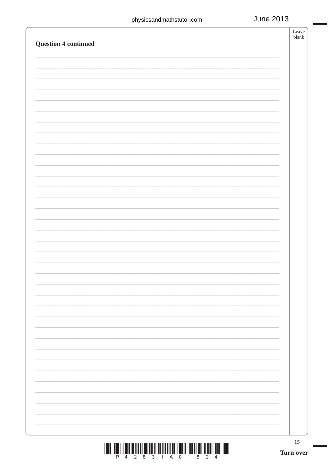|                             | 15<br>Turn over |
|-----------------------------|-----------------|
|                             |                 |
|                             |                 |
|                             |                 |
|                             |                 |
|                             |                 |
|                             |                 |
|                             |                 |
|                             |                 |
|                             |                 |
|                             |                 |
|                             |                 |
|                             |                 |
|                             |                 |
|                             |                 |
|                             |                 |
|                             |                 |
|                             |                 |
|                             |                 |
|                             |                 |
|                             |                 |
|                             |                 |
| <b>Question 4 continued</b> |                 |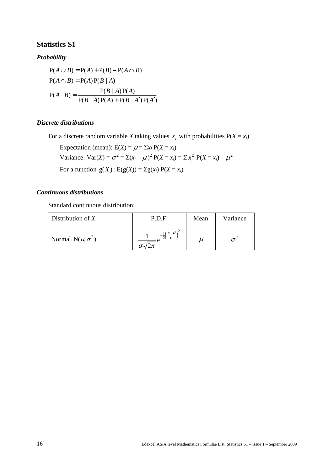### **Statistics S1**

### *Probability*

$$
P(A \cup B) = P(A) + P(B) - P(A \cap B)
$$
  
 
$$
P(A \cap B) = P(A)P(B | A)
$$
  
 
$$
P(B | A)P(A)
$$
  
 
$$
P(B | A)P(A) + P(B | A')P(A')
$$

### *Discrete distributions*

For a discrete random variable *X* taking values  $x_i$  with probabilities  $P(X = x_i)$ 

Expectation (mean):  $E(X) = \mu = \sum x_i P(X = x_i)$ Variance:  $Var(X) = \sigma^2 = \sum (x_i - \mu)^2 P(X = x_i) = \sum x_i^2 P(X = x_i) - \mu^2$ For a function  $g(X)$ : E( $g(X)$ ) =  $\Sigma g(x_i) P(X = x_i)$ 

### *Continuous distributions*

Standard continuous distribution:

| Distribution of $X$            | P.D.F.                    | Mean | Variance |
|--------------------------------|---------------------------|------|----------|
| Normal N( $\mu$ , $\sigma^2$ ) | $x-\nu$<br>$\sigma$<br>σ√ | u    |          |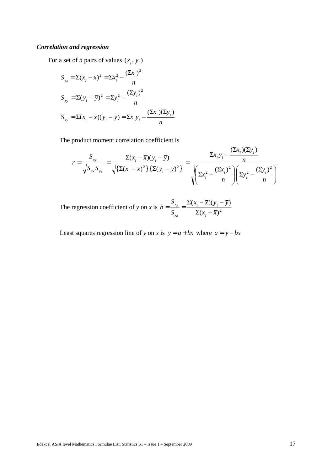### *Correlation and regression*

For a set of *n* pairs of values  $(x_i, y_i)$ 

$$
S_{xx} = \Sigma (x_i - \overline{x})^2 = \Sigma x_i^2 - \frac{(\Sigma x_i)^2}{n}
$$
  
\n
$$
S_{yy} = \Sigma (y_i - \overline{y})^2 = \Sigma y_i^2 - \frac{(\Sigma y_i)^2}{n}
$$
  
\n
$$
S_{xy} = \Sigma (x_i - \overline{x})(y_i - \overline{y}) = \Sigma x_i y_i - \frac{(\Sigma x_i)(\Sigma y_i)}{n}
$$

The product moment correlation coefficient is

$$
r = \frac{S_{xy}}{\sqrt{S_{xx}S_{yy}}} = \frac{\Sigma(x_i - \overline{x})(y_i - \overline{y})}{\sqrt{\Sigma(x_i - \overline{x})^2 \Sigma(y_i - \overline{y})^2}} = \frac{\Sigma x_i y_i - \frac{(\Sigma x_i)(\Sigma y_i)}{n}}{\sqrt{\Sigma x_i^2 - \frac{(\Sigma x_i)^2}{n} \Sigma y_i^2 - \frac{(\Sigma y_i)^2}{n}}}
$$

The regression coefficient of *y* on *x* is  $b = \frac{xy}{S_{rr}} = \frac{(x_i - \sqrt{y_i})^2}{\Sigma(x_i - \overline{x})^2}$  $(x_i - \overline{x})(y_i - \overline{y})$  $x_i - \overline{x}$  $(x_i - \overline{x})(y_i - \overline{y})$ *S S b i i i xx xy*  $\Sigma(x_i =\frac{S_{xy}}{S_{x}=\frac{\sum(x_i-\bar{x})(y_i-\bar{x})}{\sum(x_i-\bar{x})^2}}$ 

Least squares regression line of *y* on *x* is  $y = a + bx$  where  $a = \overline{y} - b\overline{x}$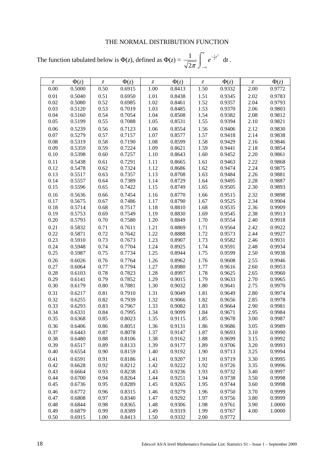### THE NORMAL DISTRIBUTION FUNCTION

The function tabulated below is  $\Phi(z)$ , defined as  $\Phi(z) = \frac{1}{\sqrt{z}} \left[ e^{-\frac{z^2}{z^2}} \right]$  dt  $e^{-\frac{1}{2}t^2}$  d 2  $\frac{1}{2\pi}\int_{-\infty}^{\infty}e^{-\frac{1}{2}t^2}$  $\int$ ∞−  $\int_{-\infty}^{\infty} e^{-\frac{1}{2}t^2} dt$ .

| $\mathcal{Z}$ | $\Phi(z)$        | $\ensuremath{\mathnormal{Z}}$ | $\Phi(z)$        | $\mathcal{Z}$ | $\Phi(z)$        | $\mathcal{Z}$ | $\Phi(z)$        | $\mathcal{Z}$ | $\Phi(z)$        |
|---------------|------------------|-------------------------------|------------------|---------------|------------------|---------------|------------------|---------------|------------------|
| 0.00          | 0.5000           | 0.50                          | 0.6915           | 1.00          | 0.8413           | 1.50          | 0.9332           | 2.00          | 0.9772           |
| 0.01          | 0.5040           | 0.51                          | 0.6950           | 1.01          | 0.8438           | 1.51          | 0.9345           | 2.02          | 0.9783           |
| 0.02          | 0.5080           | 0.52                          | 0.6985           | 1.02          | 0.8461           | 1.52          | 0.9357           | 2.04          | 0.9793           |
| 0.03          | 0.5120           | 0.53                          | 0.7019           | 1.03          | 0.8485           | 1.53          | 0.9370           | 2.06          | 0.9803           |
| 0.04          | 0.5160           | 0.54                          | 0.7054           | 1.04          | 0.8508           | 1.54          | 0.9382           | 2.08          | 0.9812           |
| 0.05          | 0.5199           | 0.55                          | 0.7088           | 1.05          | 0.8531           | 1.55          | 0.9394           | 2.10          | 0.9821           |
| 0.06          | 0.5239           | 0.56                          | 0.7123           | 1.06          | 0.8554           | 1.56          | 0.9406           | 2.12          | 0.9830           |
| 0.07          | 0.5279           | 0.57                          | 0.7157           | 1.07          | 0.8577           | 1.57          | 0.9418           | 2.14          | 0.9838           |
| 0.08          | 0.5319           | 0.58                          | 0.7190           | 1.08          | 0.8599           | 1.58          | 0.9429           | 2.16          | 0.9846           |
| 0.09          | 0.5359           | 0.59                          | 0.7224           | 1.09          | 0.8621           | 1.59          | 0.9441           | 2.18          | 0.9854           |
| 0.10          | 0.5398           | 0.60                          | 0.7257           | 1.10          | 0.8643           | 1.60          | 0.9452           | 2.20          | 0.9861           |
| 0.11          | 0.5438           | 0.61                          | 0.7291           | 1.11          | 0.8665           | 1.61          | 0.9463           | 2.22          | 0.9868           |
| 0.12          | 0.5478           | 0.62                          | 0.7324           | 1.12          | 0.8686           | 1.62          | 0.9474           | 2.24          | 0.9875           |
| 0.13          | 0.5517           | 0.63                          | 0.7357           | 1.13          | 0.8708           | 1.63          | 0.9484           | 2.26          | 0.9881           |
| 0.14          | 0.5557           | 0.64                          | 0.7389           | 1.14          | 0.8729           | 1.64          | 0.9495           | 2.28          | 0.9887           |
| 0.15          | 0.5596           | 0.65                          | 0.7422           | 1.15          | 0.8749           | 1.65          | 0.9505           | 2.30          | 0.9893           |
| 0.16          | 0.5636           | 0.66                          | 0.7454           | 1.16          | 0.8770           | 1.66          | 0.9515           | 2.32          | 0.9898           |
| 0.17          | 0.5675           | 0.67                          | 0.7486           | 1.17          | 0.8790           | 1.67          | 0.9525           | 2.34          | 0.9904           |
| 0.18          | 0.5714           | 0.68                          | 0.7517           | 1.18          | 0.8810           | 1.68          | 0.9535           | 2.36          | 0.9909           |
| 0.19          | 0.5753           | 0.69                          | 0.7549           | 1.19          | 0.8830           | 1.69          | 0.9545           | 2.38          | 0.9913           |
| 0.20          | 0.5793           | 0.70                          | 0.7580           | 1.20          | 0.8849           | 1.70          | 0.9554           | 2.40          | 0.9918           |
| 0.21          | 0.5832           | 0.71                          | 0.7611           | 1.21          | 0.8869           | 1.71          | 0.9564           | 2.42          | 0.9922           |
| 0.22          | 0.5871           | 0.72                          | 0.7642           | 1.22          | 0.8888           | 1.72          | 0.9573           | 2.44          | 0.9927           |
| 0.23          | 0.5910           | 0.73                          | 0.7673           | 1.23          | 0.8907           | 1.73          | 0.9582           | 2.46          | 0.9931           |
| 0.24          | 0.5948           | 0.74                          | 0.7704           | 1.24          | 0.8925           | 1.74          | 0.9591           | 2.48          | 0.9934           |
| 0.25          | 0.5987           | 0.75                          | 0.7734           | 1.25          | 0.8944           | 1.75          | 0.9599           | 2.50          | 0.9938           |
| 0.26          | 0.6026           | 0.76                          | 0.7764           | 1.26          | 0.8962           | 1.76          | 0.9608           | 2.55          | 0.9946           |
| 0.27          | 0.6064           | 0.77                          | 0.7794           | 1.27          | 0.8980           | 1.77          | 0.9616           | 2.60          | 0.9953           |
| 0.28          | 0.6103           | 0.78                          | 0.7823           | 1.28          | 0.8997           | 1.78          | 0.9625           | 2.65          | 0.9960           |
| 0.29          | 0.6141           | 0.79                          | 0.7852           | 1.29          | 0.9015           | 1.79          | 0.9633           | 2.70          | 0.9965           |
| 0.30          | 0.6179           | $0.80\,$                      | 0.7881           | 1.30          | 0.9032           | 1.80          | 0.9641           | 2.75          | 0.9970           |
| 0.31          | 0.6217           | 0.81                          | 0.7910           | 1.31          | 0.9049           | 1.81          | 0.9649           | 2.80          | 0.9974           |
| 0.32          | 0.6255           | 0.82                          | 0.7939           | 1.32          | 0.9066           | 1.82          | 0.9656           | 2.85          | 0.9978           |
| 0.33          | 0.6293           | 0.83                          | 0.7967           | 1.33          | 0.9082           | 1.83          | 0.9664           | 2.90          | 0.9981           |
| 0.34          | 0.6331           | 0.84                          | 0.7995           | 1.34          | 0.9099           | 1.84          | 0.9671           | 2.95          | 0.9984           |
| 0.35          | 0.6368           | 0.85                          | 0.8023           | 1.35          | 0.9115           | 1.85          | 0.9678           | 3.00          | 0.9987           |
| 0.36          | 0.6406           | 0.86                          | 0.8051           | 1.36          | 0.9131           | 1.86          | 0.9686           | 3.05          | 0.9989           |
| 0.37          | 0.6443           | 0.87                          | 0.8078           | 1.37          | 0.9147           | 1.87          | 0.9693           | 3.10<br>3.15  | 0.9990           |
| 0.38<br>0.39  | 0.6480<br>0.6517 | 0.88<br>0.89                  | 0.8106<br>0.8133 | 1.38<br>1.39  | 0.9162<br>0.9177 | 1.88<br>1.89  | 0.9699<br>0.9706 | 3.20          | 0.9992<br>0.9993 |
| 0.40          | 0.6554           | 0.90                          | 0.8159           | 1.40          | 0.9192           | 1.90          | 0.9713           | 3.25          | 0.9994           |
| 0.41          | 0.6591           | 0.91                          |                  |               | 0.9207           | 1.91          | 0.9719           | 3.30          | 0.9995           |
| 0.42          | 0.6628           | 0.92                          | 0.8186<br>0.8212 | 1.41<br>1.42  | 0.9222           | 1.92          | 0.9726           | 3.35          | 0.9996           |
| 0.43          | 0.6664           | 0.93                          | 0.8238           | 1.43          | 0.9236           | 1.93          | 0.9732           | 3.40          | 0.9997           |
| 0.44          | 0.6700           | 0.94                          | 0.8264           | 1.44          | 0.9251           | 1.94          | 0.9738           | 3.50          | 0.9998           |
| 0.45          | 0.6736           | 0.95                          | 0.8289           | 1.45          | 0.9265           | 1.95          | 0.9744           | 3.60          | 0.9998           |
| 0.46          | 0.6772           | 0.96                          | 0.8315           | 1.46          | 0.9279           | 1.96          | 0.9750           | 3.70          | 0.9999           |
| 0.47          | 0.6808           | 0.97                          | 0.8340           | 1.47          | 0.9292           | 1.97          | 0.9756           | 3.80          | 0.9999           |
| 0.48          | 0.6844           | 0.98                          | 0.8365           | 1.48          | 0.9306           | 1.98          | 0.9761           | 3.90          | 1.0000           |
| 0.49          | 0.6879           | 0.99                          | 0.8389           | 1.49          | 0.9319           | 1.99          | 0.9767           | 4.00          | 1.0000           |
| 0.50          | 0.6915           | 1.00                          | 0.8413           | 1.50          | 0.9332           | 2.00          | 0.9772           |               |                  |